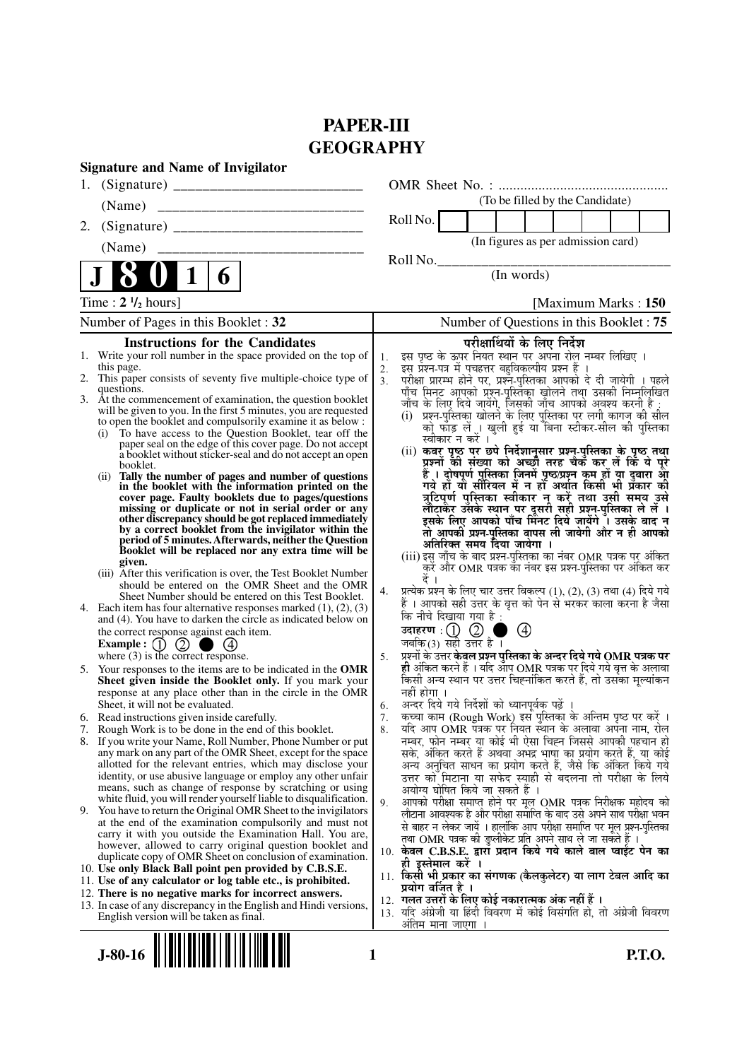# **PAPER-III GEOGRAPHY**

| ULUUNAI II I<br><b>Signature and Name of Invigilator</b>                                                                              |                                                                                                                                          |
|---------------------------------------------------------------------------------------------------------------------------------------|------------------------------------------------------------------------------------------------------------------------------------------|
| 1.                                                                                                                                    |                                                                                                                                          |
| (Name)                                                                                                                                | (To be filled by the Candidate)                                                                                                          |
| 2.                                                                                                                                    | Roll No.                                                                                                                                 |
| (Name)                                                                                                                                | (In figures as per admission card)                                                                                                       |
|                                                                                                                                       | Roll No.                                                                                                                                 |
| 6                                                                                                                                     | (In words)                                                                                                                               |
| Time: $2 \frac{1}{2}$ hours]                                                                                                          | [Maximum Marks: 150]                                                                                                                     |
| Number of Pages in this Booklet: 32                                                                                                   | Number of Questions in this Booklet: 75                                                                                                  |
| <b>Instructions for the Candidates</b>                                                                                                | परीक्षार्थियों के लिए निर्देश                                                                                                            |
| 1. Write your roll number in the space provided on the top of                                                                         | इस पृष्ठ के ऊपर नियत स्थान पर अपना रोल नम्बर लिखिए ।<br>1.                                                                               |
| this page.<br>2. This paper consists of seventy five multiple-choice type of                                                          | इस प्रश्न-पत्र में पचहत्तर बहुविकल्पीय प्रश्न हैं ।<br>2.<br>परीक्षा प्रारम्भ होने पर, प्रश्नॅ-पुस्तिका आपको दे दी जायेगी । पहले<br>3.   |
| questions.<br>3. At the commencement of examination, the question booklet                                                             | पाँच मिनट आपको प्रश्न-पुस्तिका खोलने तथा उसकी निम्नलिखित                                                                                 |
| will be given to you. In the first 5 minutes, you are requested                                                                       | जाँच के लिए दिये जायेंगे, जिसकी जाँच आपको अवश्य करनी है :<br>(i) प्रश्न-पुस्तिका खोलने के लिए पुस्तिका पर लगी कागज की सील                |
| to open the booklet and compulsorily examine it as below :<br>To have access to the Question Booklet, tear off the<br>(i)             | को फॉड़ लें । खुली हुई या बिना स्टीकर-सील की पुस्तिका                                                                                    |
| paper seal on the edge of this cover page. Do not accept                                                                              | स्वीकार न करें ।<br>(ii) कवर पृष्ठ पर छपे निर्देशानुसार प्रश्न्-पुस्तिका के पृष्ठ तथा                                                    |
| a booklet without sticker-seal and do not accept an open<br>booklet.                                                                  | प्रश्नों की संख्या को अच्छी तरह चैक कर लें कि ये पूरे                                                                                    |
| Tally the number of pages and number of questions<br>(ii)                                                                             | हैं । दोषपूर्ण पुस्तिका जिनमें पृष्ठ/प्रश्न कम हों या दुबारा आ<br>गये हों या सीरियल में न हो अर्थात किसी भी प्रकार की                    |
| in the booklet with the information printed on the<br>cover page. Faulty booklets due to pages/questions                              | त्रुटिपूर्ण पुस्तिका स्वीकार न करें तथा उसी समय उसे                                                                                      |
| missing or duplicate or not in serial order or any                                                                                    | लौटाकैर उसके स्थान पर दूसरी सह़ी प्रश्न-पुस्तिका ले लें ।                                                                                |
| other discrepancy should be got replaced immediately<br>by a correct booklet from the invigilator within the                          | इसके लिए आपको पाँच मिनट दिये जायेंगे । उसके बाद न<br>तो आपकी प्रश्न-पुस्तिका वापस ली जायेगी और न ही आपको                                 |
| period of 5 minutes. Afterwards, neither the Question<br>Booklet will be replaced nor any extra time will be                          | अतिरिक्त समय दिया जायेगा ।                                                                                                               |
| given.                                                                                                                                | (iii) इसु जाँच के बाद प्रश्न-पुस्तिका का नंबर OMR पत्रक पर् अंकित<br>करें और OMR पत्रक का नंबर इस प्रश्न-पुस्तिका पर अंकित कर            |
| (iii) After this verification is over, the Test Booklet Number                                                                        |                                                                                                                                          |
| should be entered on the OMR Sheet and the OMR<br>Sheet Number should be entered on this Test Booklet.                                | प्रत्येक प्रश्न के लिए चार उत्तर विकल्प (1), (2), (3) तथा (4) दिये गये<br>4.                                                             |
| Each item has four alternative responses marked $(1)$ , $(2)$ , $(3)$<br>4.                                                           | हैं । आपको सही उत्तर के वृत्त को पेन से भरकर काला करना है जैसा<br>कि नीचे दिखाया गया है :                                                |
| and (4). You have to darken the circle as indicated below on<br>the correct response against each item.                               | $\circledcirc$<br>$\blacksquare$                                                                                                         |
| Example : $(1)$ $(2)$                                                                                                                 | जबकि(3) सही उत्तर है ।                                                                                                                   |
| where $(3)$ is the correct response.                                                                                                  | प्रश्नों के उत्तर केवल प्रश्न पुस्तिका के अन्दर दिये गये OMR पत्रक पर<br>5.                                                              |
| 5. Your responses to the items are to be indicated in the OMR<br>Sheet given inside the Booklet only. If you mark your                | ही अंकित करने हैं । यदि आप OMR पत्रक पर दिये गये वृत्त के अलावा<br>किसी अन्य स्थान पर उत्तर चिह्नांकित करते हैं, तो उसका मूल्यांकन       |
| response at any place other than in the circle in the OMR                                                                             | नहीं होगा ।                                                                                                                              |
| Sheet, it will not be evaluated.                                                                                                      | अन्दर दिये गये निर्देशों को ध्यानपूर्वक पढ़ें ।<br>6.<br>कृच्चा काम (Rough Work) इस पुरितका के अन्तिम पृष्ठ पर करें ।                    |
| 6. Read instructions given inside carefully.<br>7. Rough Work is to be done in the end of this booklet.                               | 7.<br>र्याद आप OMR पत्रक पर नियत स्थान के अलावा अपना नाम, रोल<br>8.                                                                      |
| If you write your Name, Roll Number, Phone Number or put<br>8.                                                                        | नम्बर, फोन नम्बर या कोई भी ऐसा चिह्न जिससे आपकी पहचान हो                                                                                 |
| any mark on any part of the OMR Sheet, except for the space<br>allotted for the relevant entries, which may disclose your             | सके, अंकित करते हैं अथवा अभद्र भाषा का प्रयोग करते हैं, या कोई<br>अन्य अनुचित साधन का प्रयोग करते हैं, जैसे कि अंकित किये गये            |
| identity, or use abusive language or employ any other unfair                                                                          | उत्तर को मिटाना या सफेद स्याही से बदलना तो परीक्षा के लिये                                                                               |
| means, such as change of response by scratching or using                                                                              | अयोग्य घोषित किये जा सकते हैं ।                                                                                                          |
| white fluid, you will render yourself liable to disqualification.<br>9. You have to return the Original OMR Sheet to the invigilators | आपको परीक्षा समाप्त होने पर मूल OMR पत्रक निरीक्षक महोदय को<br>9.<br>लौटाना आवश्यक है और परीक्षा समाप्ति के बाद उसे अपने साथ परीक्षा भवन |
| at the end of the examination compulsorily and must not                                                                               | से बाहर न लेकर जायें । हालांकि आप परीक्षा समाप्ति पर मूल प्रश्न-पुस्तिका                                                                 |
| carry it with you outside the Examination Hall. You are,<br>however, allowed to carry original question booklet and                   | तथा OMR पत्रक की डुप्लीकेट प्रति अपने साथ ले जा सकते हैं ।                                                                               |
| duplicate copy of OMR Sheet on conclusion of examination.                                                                             | 10. केवल C.B.S.E. द्वारा प्रदान किये गये काले बाल प्वाईट पेन का<br>ही इस्तेमाल करें ।                                                    |
| 10. Use only Black Ball point pen provided by C.B.S.E.<br>11. Use of any calculator or log table etc., is prohibited.                 | 11. किसी भी प्रकार का संगणक (कैलकुलेटर) या लाग टेबल आदि का                                                                               |
| 12. There is no negative marks for incorrect answers.                                                                                 | प्रयोग वर्जित है ।                                                                                                                       |
| 13. In case of any discrepancy in the English and Hindi versions,                                                                     | 12. गलत उत्तरों के लिए कोई नकारात्मक अंक नहीं हैं ।<br>13. यदि अंग्रेजी या हिंदी विवरण में कोई विसंगति हो, तो अंग्रेजी विवरण             |
| English version will be taken as final.                                                                                               | अंतिम माना जाएगा ।                                                                                                                       |
|                                                                                                                                       |                                                                                                                                          |
| $J-80-16$                                                                                                                             | P.T.O.<br>1                                                                                                                              |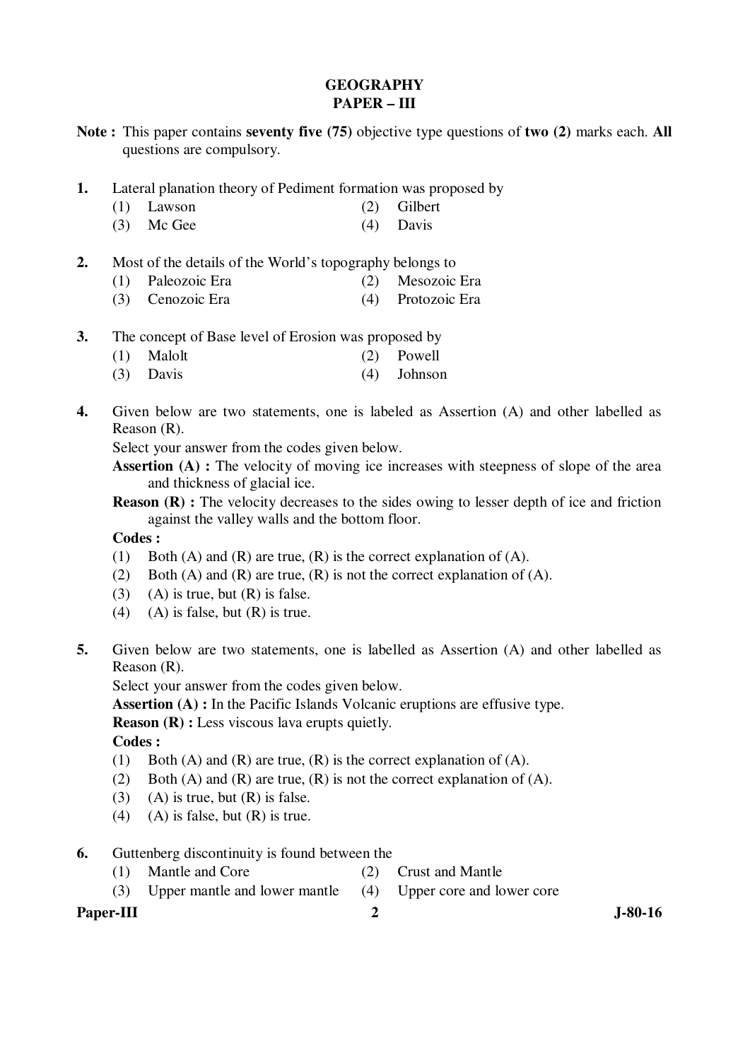# **GEOGRAPHY PAPER – III**

- **Note :** This paper contains **seventy five (75)** objective type questions of **two (2)** marks each. **All** questions are compulsory.
- **1.** Lateral planation theory of Pediment formation was proposed by
	- (1) Lawson (2) Gilbert
	- (3) Mc Gee (4) Davis
- **2.** Most of the details of the World's topography belongs to
	- (1) Paleozoic Era (2) Mesozoic Era
	- (3) Cenozoic Era (4) Protozoic Era
- **3.** The concept of Base level of Erosion was proposed by
- (1) Malolt (2) Powell
	- (3) Davis (4) Johnson
- **4.** Given below are two statements, one is labeled as Assertion (A) and other labelled as Reason (R).

Select your answer from the codes given below.

**Assertion (A) :** The velocity of moving ice increases with steepness of slope of the area and thickness of glacial ice.

**Reason (R) :** The velocity decreases to the sides owing to lesser depth of ice and friction against the valley walls and the bottom floor.

#### **Codes :**

- (1) Both (A) and (R) are true, (R) is the correct explanation of (A).
- (2) Both (A) and (R) are true, (R) is not the correct explanation of (A).
- $(3)$  (A) is true, but  $(R)$  is false.
- (4) (A) is false, but  $(R)$  is true.
- **5.** Given below are two statements, one is labelled as Assertion (A) and other labelled as Reason (R).

Select your answer from the codes given below.

Assertion (A) : In the Pacific Islands Volcanic eruptions are effusive type.

**Reason (R) :** Less viscous lava erupts quietly.

 **Codes :** 

- (1) Both (A) and (R) are true,  $(R)$  is the correct explanation of (A).
- (2) Both (A) and (R) are true, (R) is not the correct explanation of (A).
- (3) (A) is true, but  $(R)$  is false.
- (4) (A) is false, but  $(R)$  is true.
- **6.** Guttenberg discontinuity is found between the
	- (1) Mantle and Core (2) Crust and Mantle
	- (3) Upper mantle and lower mantle (4) Upper core and lower core

## Paper-III 3-80-16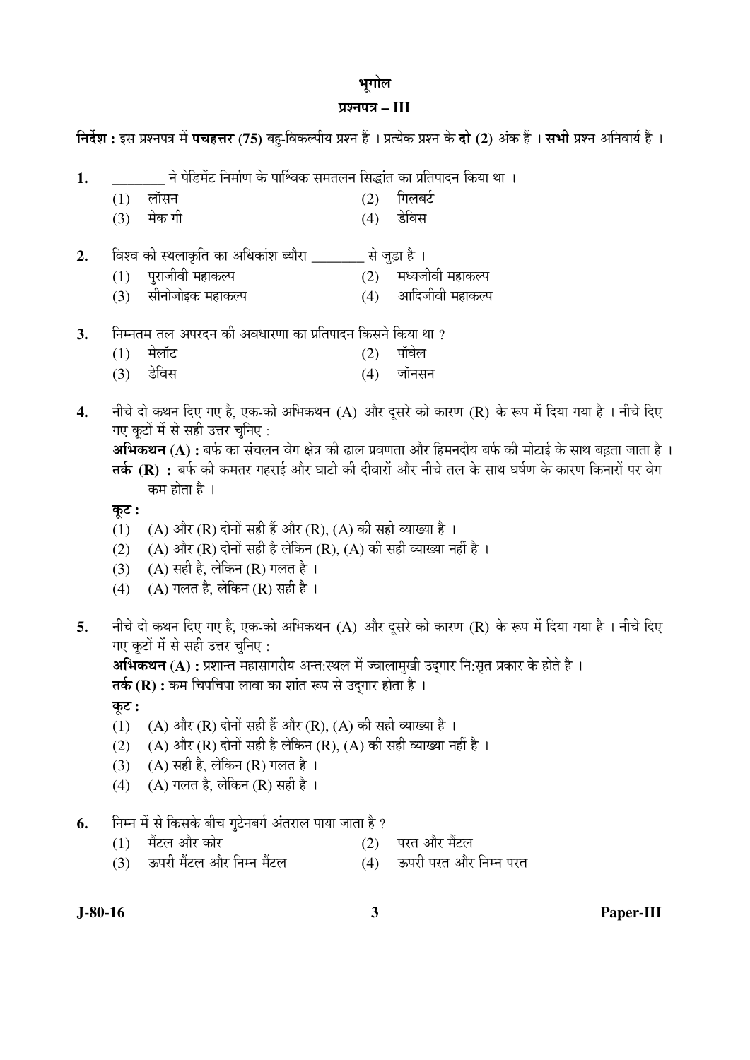#### भूगोल

#### ¯ÖÏ¿®Ö¯Ö¡Ö **– III**

**निर्देश :** इस प्रश्नपत्र में **पचहत्तर (75)** बह-विकल्पीय प्रश्न हैं । प्रत्येक प्रश्न के **दो (2)** अंक हैं । सभी प्रश्न अनिवार्य हैं ।

- 1. \_\_\_\_\_\_\_\_ ने पेडिमेंट निर्माण के पार्श्विक समतलन सिद्धांत का प्रतिपादन किया था ।
- (1) लॉसन (2) गिलबर्ट
- (3) ´ÖêÛú ÝÖß (4) ›êü×¾ÖÃÖ
- **2.** विश्व की स्थलाकृति का अधिकांश ब्यौरा से जुड़ा है ।
	- (1) ¯Öã¸üÖ•Öß¾Öß ´ÖÆüÖÛú»¯Ö (2) ´Ö¬µÖ•Öß¾Öß ´ÖÆüÖÛú»¯Ö
	- (3) सीनोजोइक महाकल्प (4) आदिजीवी महाकल्प
- **3.** निम्नतम तल अपरदन की अवधारणा का प्रतिपादन किसने किया था ?
- (1) मेलॉट (2) पॉवेल
- (3) डेविस (4) जॉनसन
- 4. नीचे दो कथन दिए गए है, एक-को अभिकथन (A) और दुसरे को कारण (R) के रूप में दिया गया है । नीचे दिए गए कुटों में से सही उत्तर चुनिए :

**अभिकथन (A) :** बर्फ का संचलन वेग क्षेत्र की ढाल प्रवणता और हिमनदीय बर्फ की मोटाई के साथ बढता जाता है । **तर्क (R) :** बर्फ की कमतर गहराई और घाटी की दीवारों और नीचे तल के साथ घर्षण के कारण किनारों पर वेग कम होता है ।

Ûæú™ü **:** 

- (1) (A) और (R) दोनों सही हैं और (R), (A) की सही व्याख्या है ।
- (2) (A) और (R) दोनों सही है लेकिन (R), (A) की सही व्याख्या नहीं है ।
- (3)  $(A)$  सही है, लेकिन (R) गलत है।
- (4) (A) गलत है, लेकिन (R) सही है।
- **5.** नीचे दो कथन दिए गए है, एक-को अभिकथन (A) और दुसरे को कारण (R) के रूप में दिया गया है । नीचे दिए गए कटों में से सही उत्तर चनिए :

**अभिकथन (A) :** प्रशान्त महासागरीय अन्त:स्थल में ज्वालामुखी उद्गार नि:सृत प्रकार के होते है । **तर्क (R) :** कम चिपचिपा लावा का शांत रूप से उदगार होता है ।

कूट :

- (1) (A) और (R) दोनों सही हैं और (R), (A) की सही व्याख्या है ।
- (2) (A) और (R) दोनों सही है लेकिन (R), (A) की सही व्याख्या नहीं है ।
- (3) (A) सही है, लेकिन (R) गलत है।
- (4) (A) गलत है, लेकिन (R) सही है ।
- **6.** निम्न में से किसके बीच गुटेनबर्ग अंतराल पाया जाता है ?
	- $(1)$  मैंटल और कोर चंटिला कर को चंटिला है। या परत और मैंटल
	- $(3)$  ऊपरी मैंटल और निम्न मैंटल  $(4)$  ऊपरी परत और निम्न परत

**J-80-16 3 Paper-III**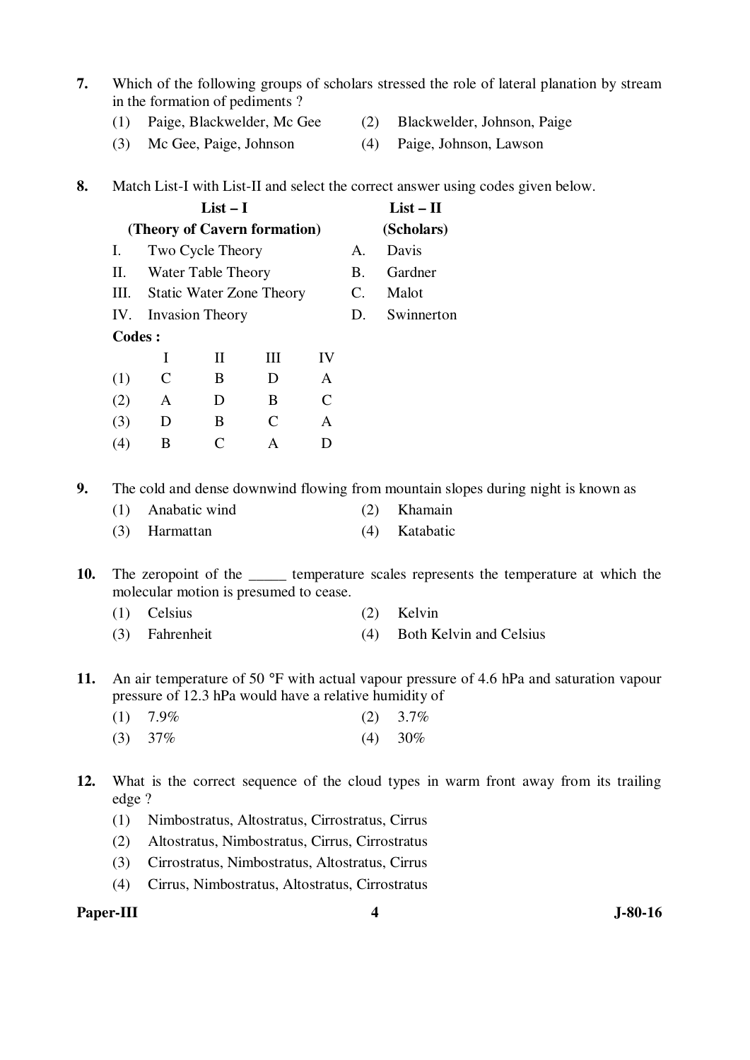- **7.** Which of the following groups of scholars stressed the role of lateral planation by stream in the formation of pediments ?
	- (1) Paige, Blackwelder, Mc Gee (2) Blackwelder, Johnson, Paige
	- (3) Mc Gee, Paige, Johnson (4) Paige, Johnson, Lawson
- -
- **8.** Match List-I with List-II and select the correct answer using codes given below.

|        |                              |                     | $List - II$                     |    |             |            |
|--------|------------------------------|---------------------|---------------------------------|----|-------------|------------|
|        | (Theory of Cavern formation) |                     | (Scholars)                      |    |             |            |
| Ι.     |                              | Two Cycle Theory    |                                 |    | A.          | Davis      |
| П.     |                              | Water Table Theory  |                                 |    | В.          | Gardner    |
| Ш.     |                              |                     | <b>Static Water Zone Theory</b> |    | C.          | Malot      |
|        |                              | IV. Invasion Theory |                                 |    | $D_{\rm c}$ | Swinnerton |
| Codes: |                              |                     |                                 |    |             |            |
|        | I                            | $\mathbf{I}$        | HН                              | IV |             |            |
| (1)    | C                            | B                   | D                               | A  |             |            |
| (2)    | A                            | D                   | B                               | C  |             |            |
| (3)    | D                            | B                   | $\mathcal{C}_{\mathcal{C}}$     | A  |             |            |
| (4)    | B                            | $\mathsf{\Gamma}$   | А                               | Ð  |             |            |
|        |                              |                     |                                 |    |             |            |

**9.** The cold and dense downwind flowing from mountain slopes during night is known as

- (1) Anabatic wind (2) Khamain (3) Harmattan (4) Katabatic
- **10.** The zeropoint of the \_\_\_\_\_ temperature scales represents the temperature at which the molecular motion is presumed to cease.
	- (1) Celsius (2) Kelvin
	- (3) Fahrenheit (4) Both Kelvin and Celsius
- **11.** An air temperature of 50 °F with actual vapour pressure of 4.6 hPa and saturation vapour pressure of 12.3 hPa would have a relative humidity of
- (1)  $7.9\%$  (2)  $3.7\%$ (3)  $37\%$  (4)  $30\%$
- **12.** What is the correct sequence of the cloud types in warm front away from its trailing edge ?
	- (1) Nimbostratus, Altostratus, Cirrostratus, Cirrus
	- (2) Altostratus, Nimbostratus, Cirrus, Cirrostratus
	- (3) Cirrostratus, Nimbostratus, Altostratus, Cirrus
	- (4) Cirrus, Nimbostratus, Altostratus, Cirrostratus

### **Paper-III 4** J-80-16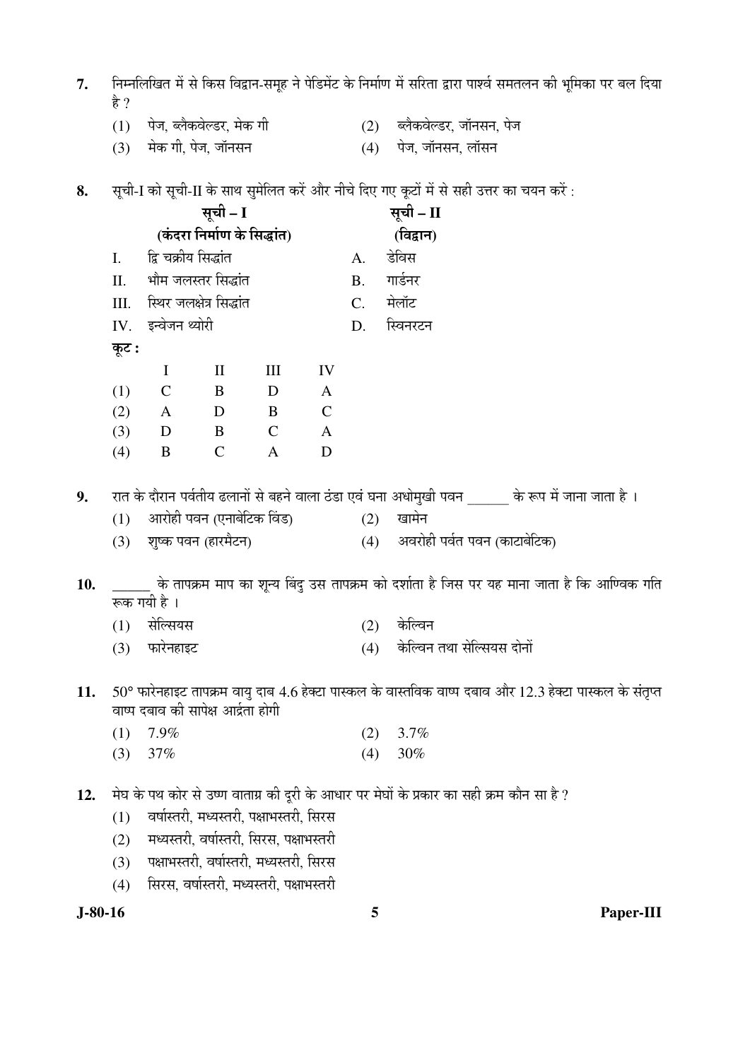- $\,$ 7.  $\,$  निम्नलिखित में से किस विद्वान-समूह ने पेडिमेंट के निर्माण में सरिता द्वारा पार्श्व समतलन की भूमिका पर बल दिया है ?
	- $(1)$  पेज, ब्लैकवेल्डर, मेक गी  $(2)$  ब्लैकवेल्डर, जॉनसन, पेज
	- $(3)$  मेक गी, पेज, जॉनसन  $(4)$  पेज, जॉनसन, लॉसन

8. सृची-I को सृची-II के साथ सुमेलित करें और नीचे दिए गए कृटों में से सही उत्तर का चयन करें:

|     |       |                                     | सूची - I                    |                                          |              |             | सूची - II                                                                                                |
|-----|-------|-------------------------------------|-----------------------------|------------------------------------------|--------------|-------------|----------------------------------------------------------------------------------------------------------|
|     |       |                                     | (कंदरा निर्माण के सिद्धांत) |                                          |              |             | (विद्वान)                                                                                                |
|     | I.    | द्वि चक्रीय सिद्धांत                |                             |                                          |              | A.          | डेविस                                                                                                    |
|     |       | II. भौम जलस्तर सिद्धांत             |                             |                                          |              | <b>B.</b>   | गार्डनर                                                                                                  |
|     | III.  | स्थिर जलक्षेत्र सिद्धांत            |                             |                                          |              | $C_{\cdot}$ | मेलॉट                                                                                                    |
|     |       | IV. इन्वेजन थ्योरी                  |                             |                                          |              | D.          | स्विनरटन                                                                                                 |
|     | कूट : |                                     |                             |                                          |              |             |                                                                                                          |
|     |       | $\bf{I}$                            | $\rm II$                    | III                                      | IV           |             |                                                                                                          |
|     | (1)   | $\mathcal{C}$                       | B                           | D                                        | $\mathbf{A}$ |             |                                                                                                          |
|     | (2)   | A D                                 |                             | B C                                      |              |             |                                                                                                          |
|     | (3)   | D B                                 |                             | $\mathsf{C}$                             | $\mathbf{A}$ |             |                                                                                                          |
|     | (4)   | $\bf{B}$                            | $\mathbf C$                 | $\mathbf{A}$                             | D            |             |                                                                                                          |
|     |       |                                     |                             |                                          |              |             |                                                                                                          |
| 9.  |       |                                     |                             |                                          |              |             | रात के दौरान पर्वतीय ढलानों से बहने वाला ठंडा एवं घना अधोमुखी पवन           के रूप में जाना जाता है ।    |
|     | (1)   |                                     | आरोही पवन (एनाबेटिक विंड)   |                                          |              | (2)         | खामेन                                                                                                    |
|     | (3)   | शुष्क पवन (हारमैटन)                 |                             |                                          |              |             | (4) अवरोही पर्वत पवन (काटाबेटिक)                                                                         |
| 10. |       |                                     |                             |                                          |              |             | ्र के तापक्रम माप का शून्य बिंदु उस तापक्रम को दर्शाता है जिस पर यह माना जाता है कि आण्विक गति           |
|     |       | रूक गयी है ।                        |                             |                                          |              |             |                                                                                                          |
|     | (1)   | सेल्सियस                            |                             |                                          |              | (2)         | केल्विन                                                                                                  |
|     | (3)   | फारेनहाइट                           |                             |                                          |              | (4)         | केल्विन तथा सेल्सियस दोनों                                                                               |
|     |       |                                     |                             |                                          |              |             |                                                                                                          |
| 11. |       |                                     |                             |                                          |              |             | 50° फारेनहाइट तापक्रम वायु दाब 4.6 हेक्टा पास्कल के वास्तविक वाष्प दबाव और 12.3 हेक्टा पास्कल के संतृप्त |
|     |       | वाष्प दबाव की सापेक्ष आर्द्रता होगी |                             |                                          |              |             |                                                                                                          |
|     | (1)   | 7.9%                                |                             |                                          |              | (2)         | 3.7%                                                                                                     |
|     | (3)   | 37%                                 |                             |                                          |              | (4)         | 30%                                                                                                      |
|     |       |                                     |                             |                                          |              |             |                                                                                                          |
| 12. |       |                                     |                             |                                          |              |             | मेघ के पथ कोर से उष्ण वाताग्र की दूरी के आधार पर मेघों के प्रकार का सही क्रम कौन सा है ?                 |
|     | (1)   |                                     |                             | वर्षास्तरी, मध्यस्तरी, पक्षाभस्तरी, सिरस |              |             |                                                                                                          |
|     | (2)   |                                     |                             | मध्यस्तरी, वर्षास्तरी, सिरस, पक्षाभस्तरी |              |             |                                                                                                          |
|     | (3)   |                                     |                             | पक्षाभस्तरी, वर्षास्तरी, मध्यस्तरी, सिरस |              |             |                                                                                                          |

(4) सिरस, वर्षास्तरी, मध्यस्तरी, पक्षाभस्तरी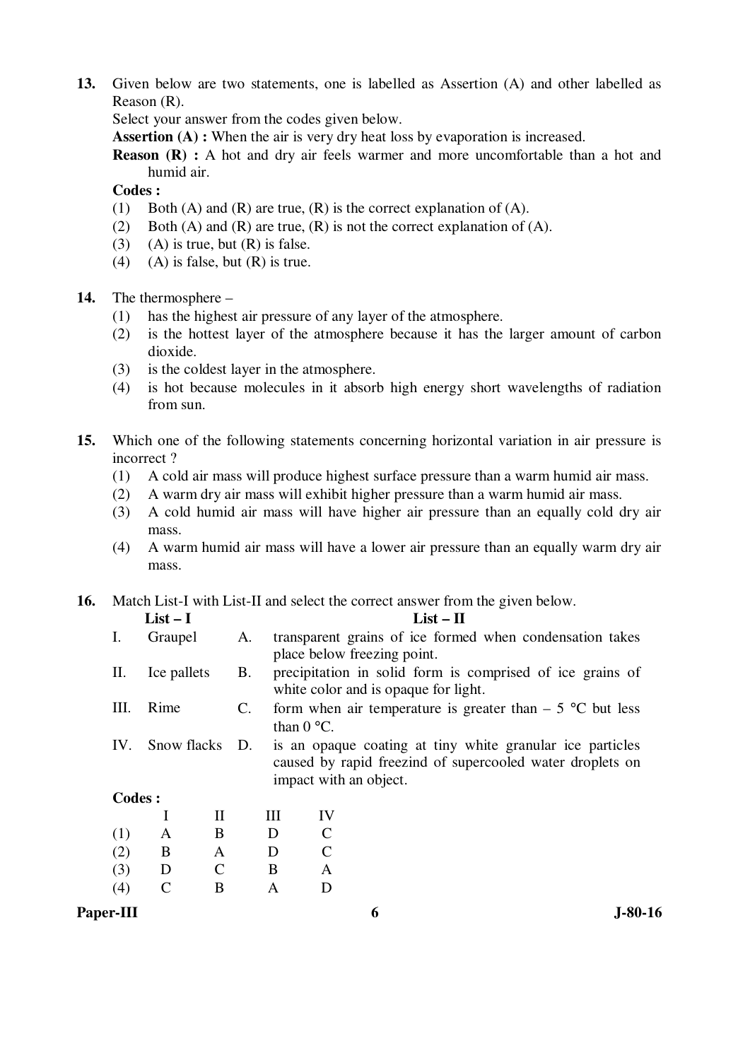**13.** Given below are two statements, one is labelled as Assertion (A) and other labelled as Reason (R).

Select your answer from the codes given below.

**Assertion (A) :** When the air is very dry heat loss by evaporation is increased.

**Reason (R) :** A hot and dry air feels warmer and more uncomfortable than a hot and humid air.

 **Codes :** 

- (1) Both (A) and (R) are true, (R) is the correct explanation of (A).
- (2) Both (A) and (R) are true, (R) is not the correct explanation of (A).
- (3) (A) is true, but  $(R)$  is false.
- (4) (A) is false, but  $(R)$  is true.
- **14.** The thermosphere
	- (1) has the highest air pressure of any layer of the atmosphere.
	- (2) is the hottest layer of the atmosphere because it has the larger amount of carbon dioxide.
	- (3) is the coldest layer in the atmosphere.
	- (4) is hot because molecules in it absorb high energy short wavelengths of radiation from sun.
- **15.** Which one of the following statements concerning horizontal variation in air pressure is incorrect ?
	- (1) A cold air mass will produce highest surface pressure than a warm humid air mass.
	- (2) A warm dry air mass will exhibit higher pressure than a warm humid air mass.
	- (3) A cold humid air mass will have higher air pressure than an equally cold dry air mass.
	- (4) A warm humid air mass will have a lower air pressure than an equally warm dry air mass.

**16.** Match List-I with List-II and select the correct answer from the given below.

|         | $List-I$       |           |                |                                                                                                                                                  | $List - II$                                                                                                                      |  |  |  |  |  |
|---------|----------------|-----------|----------------|--------------------------------------------------------------------------------------------------------------------------------------------------|----------------------------------------------------------------------------------------------------------------------------------|--|--|--|--|--|
| Ι.      | Graupel        |           | A.             |                                                                                                                                                  | transparent grains of ice formed when condensation takes                                                                         |  |  |  |  |  |
| П.      | Ice pallets    |           | <b>B.</b>      |                                                                                                                                                  | place below freezing point.<br>precipitation in solid form is comprised of ice grains of<br>white color and is opaque for light. |  |  |  |  |  |
| Ш.      | Rime           |           | $\mathbf{C}$ . |                                                                                                                                                  | form when air temperature is greater than $-5$ °C but less<br>than $0^{\circ}$ C.                                                |  |  |  |  |  |
| IV.     | Snow flacks D. |           |                | is an opaque coating at tiny white granular ice particles<br>caused by rapid freezind of supercooled water droplets on<br>impact with an object. |                                                                                                                                  |  |  |  |  |  |
| Codes : |                |           |                |                                                                                                                                                  |                                                                                                                                  |  |  |  |  |  |
|         |                | $\rm II$  |                | Ш                                                                                                                                                | IV                                                                                                                               |  |  |  |  |  |
| (1)     | A              | B         |                | D                                                                                                                                                | C                                                                                                                                |  |  |  |  |  |
| (2)     | B              | A         |                | D                                                                                                                                                | C                                                                                                                                |  |  |  |  |  |
| (3)     | D              | $\subset$ |                | B                                                                                                                                                | A                                                                                                                                |  |  |  |  |  |

#### **Paper-III** 6 J-80-16

(4) C B A D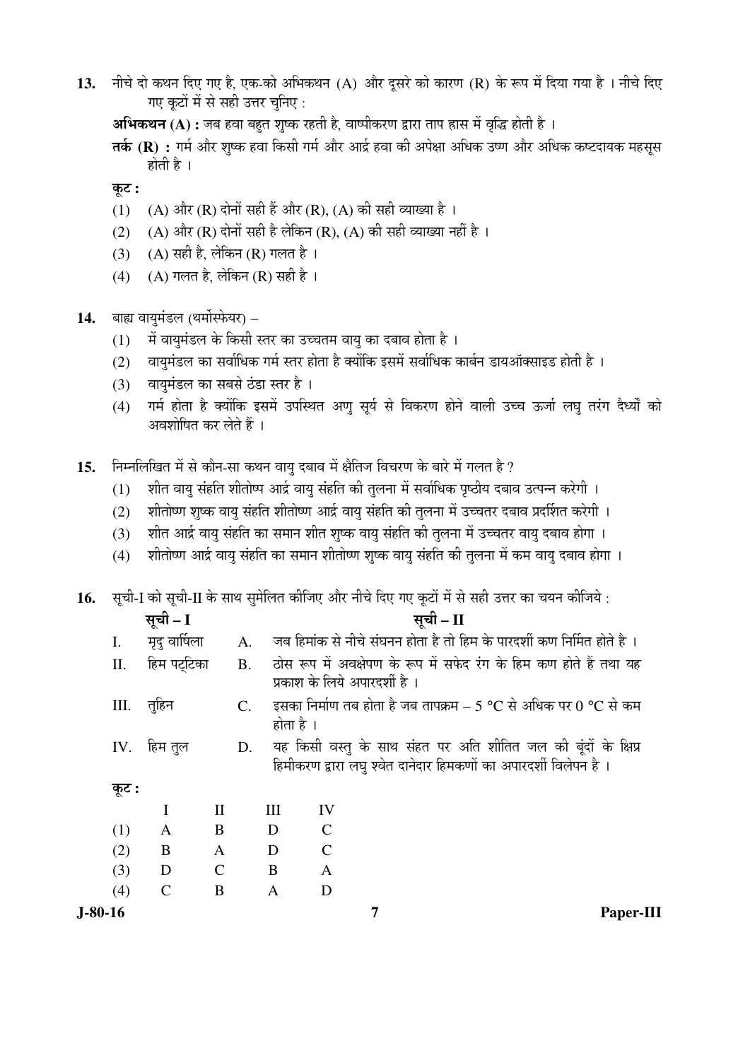13. नीचे दो कथन दिए गए है, एक-को अभिकथन (A) और दूसरे को कारण (R) के रूप में दिया गया है । नीचे दिए गए कटों में से सही उत्तर चनिए:

**अभिकथन (A) :** जब हवा बहत शृष्क रहती है, वाष्पीकरण द्वारा ताप ह्रास में वृद्धि होती है ।

**तर्क (R) :** गर्म और शुष्क हवा किसी गर्म और आर्द्र हवा की अपेक्षा अधिक उष्ण और अधिक कष्टदायक महसुस होती है ।

कूट :

- (1) (A) और (R) दोनों सही हैं और (R), (A) की सही व्याख्या है ।
- (2) (A) और (R) दोनों सही है लेकिन (R), (A) की सही व्याख्या नहीं है ।
- (3)  $(A)$  सही है, लेकिन (R) गलत है ।
- (4) (A) गलत है, लेकिन (R) सही है।
- 14. बाह्य वायुमंडल (थर्मोस्फेयर)
	- $(1)$  में वायुमंडल के किसी स्तर का उच्चतम वायु का दबाव होता है।
	- (2) वायुमंडल का सर्वाधिक गर्म स्तर होता है क्योंकि इसमें सर्वाधिक कार्बन डायऑक्साइड होती है ।
	- (3) वायुमंडल का सबसे ठंडा स्तर है।
	- (4) गर्म होता है क्योंकि इसमें उपस्थित अणु सूर्य से विकरण होने वाली उच्च ऊर्जा लघु तरंग दैर्ध्यों को अवशोषित कर लेते हैं ।
- 15. Fiम्नलिखित में से कौन-सा कथन वायु दबाव में क्षैतिज विचरण के बारे में गलत है ?
	- $(1)$  शीत वायु संहति शीतोष्प आर्द्र वायु संहति की तुलना में सर्वाधिक पृष्ठीय दबाव उत्पन्न करेगी ।
	- (2) शीतोष्ण शुष्क वायु संहति शीतोष्ण आर्द्र वायु संहति की तुलना में उच्चतर दबाव प्रदर्शित करेगी ।
	- (3) शीत आर्द्र वायु संहति का समान शीत शुष्क वायु संहति की तुलना में उच्चतर वायु दबाव होगा ।
	- (4) शीतोष्ण आर्द्र वायु संहति का समान शीतोष्ण शुष्क वायु संहति की तुलना में कम वायु दबाव होगा ।

 ${\bf 16.} \quad$  सूची-I को सूची-II के साथ सुमेलित कीजिए और नीचे दिए गए कूटों में से सही उत्तर का चयन कीजिये :

|           | सूची – I      |               |   |                                                                              | सूची – II                                                                                                                           |  |  |  |  |  |
|-----------|---------------|---------------|---|------------------------------------------------------------------------------|-------------------------------------------------------------------------------------------------------------------------------------|--|--|--|--|--|
| Ι.        | मृदु वार्षिला | A.            |   |                                                                              | जब हिमांक से नीचे संघनन होता है तो हिम के पारदर्शी कण निर्मित होते है ।                                                             |  |  |  |  |  |
| II.       | हिम पर्ट्टिका | <b>B.</b>     |   |                                                                              | ठोस रूप में अवक्षेपण के रूप में सफेद रंग के हिम कण होते हैं तथा यह<br>प्रकाश के लिये अपारदर्शी है ।                                 |  |  |  |  |  |
| III.      | तुहिन         | $C_{\cdot}$   |   | इसका निर्माण तब होता है जब तापक्रम – 5 °C से अधिक पर 0 °C से कम<br>होता है । |                                                                                                                                     |  |  |  |  |  |
| IV.       | हिम तुल       | D.            |   |                                                                              | यह किसी वस्तु के साथ संहत पर अति शीतित जल की बूंदों के क्षिप्र<br>हिमीकरण द्वारा लघु श्वेत दानेदार हिमकणों का अपारदर्शी विलेपन है । |  |  |  |  |  |
| कूट :     |               |               |   |                                                                              |                                                                                                                                     |  |  |  |  |  |
|           | I             | $\mathbf{I}$  | Ш | IV                                                                           |                                                                                                                                     |  |  |  |  |  |
| (1)       | A             | B             | D | $\mathcal{C}$                                                                |                                                                                                                                     |  |  |  |  |  |
| (2)       | B             | $\mathbf{A}$  | D | $\mathcal{C}$                                                                |                                                                                                                                     |  |  |  |  |  |
| (3)       | D             | $\mathcal{C}$ | B | $\mathbf{A}$                                                                 |                                                                                                                                     |  |  |  |  |  |
| (4)       | C             | B             | A | D                                                                            |                                                                                                                                     |  |  |  |  |  |
| $J-80-16$ |               |               |   |                                                                              | Paper-III                                                                                                                           |  |  |  |  |  |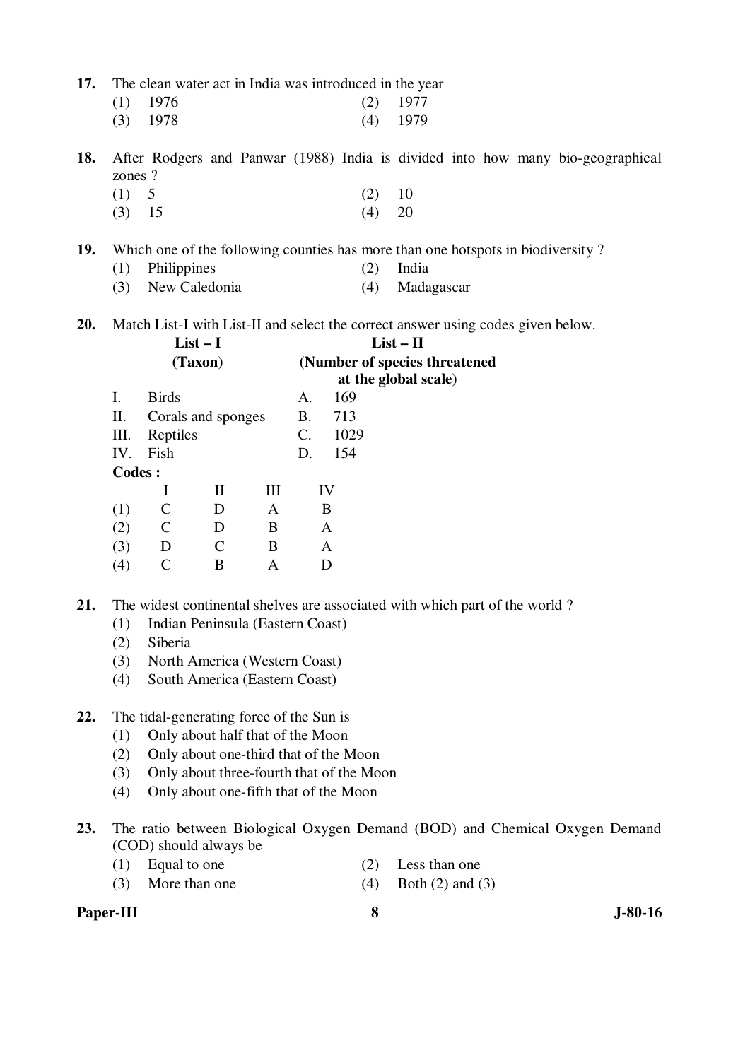| 17. The clean water act in India was introduced in the year |  |  |
|-------------------------------------------------------------|--|--|
|-------------------------------------------------------------|--|--|

| $(1)$ 1976 | $(2)$ 1977 |
|------------|------------|
| $(3)$ 1978 | $(4)$ 1979 |

**18.** After Rodgers and Panwar (1988) India is divided into how many bio-geographical zones ?

(1)  $5$  (2)  $10$ (3)  $15$  (4)  $20$ 

**19.** Which one of the following counties has more than one hotspots in biodiversity ?

- (1) Philippines (2) India
- (3) New Caledonia (4) Madagascar

**20.** Match List-I with List-II and select the correct answer using codes given below.

|                   |              |         |                                   | (Number of species threatened) |      |                   |  |                                     |  |
|-------------------|--------------|---------|-----------------------------------|--------------------------------|------|-------------------|--|-------------------------------------|--|
| Ι.                | <b>Birds</b> |         |                                   | A.                             | 169  |                   |  |                                     |  |
| П.                |              |         |                                   | <b>B.</b>                      | 713  |                   |  |                                     |  |
| Ш.                |              |         |                                   | C.                             | 1029 |                   |  |                                     |  |
| IV.               | Fish         |         |                                   | D.                             | 154  |                   |  |                                     |  |
|                   |              |         |                                   |                                |      |                   |  |                                     |  |
|                   |              | H       | Ш                                 |                                |      |                   |  |                                     |  |
| (1)               | C            | D       | A                                 |                                |      |                   |  |                                     |  |
| (2)               | C            | D       | B                                 |                                |      |                   |  |                                     |  |
| (3)               | D            |         | B                                 |                                |      |                   |  |                                     |  |
| $\left( 4\right)$ |              | B       | А                                 |                                |      |                   |  |                                     |  |
|                   |              | Codes : | $List - I$<br>(Taxon)<br>Reptiles | Corals and sponges             |      | IV<br>B<br>A<br>A |  | $List - II$<br>at the global scale) |  |

**21.** The widest continental shelves are associated with which part of the world ?

- (1) Indian Peninsula (Eastern Coast)
- (2) Siberia
- (3) North America (Western Coast)
- (4) South America (Eastern Coast)

#### **22.** The tidal-generating force of the Sun is

- (1) Only about half that of the Moon
- (2) Only about one-third that of the Moon
- (3) Only about three-fourth that of the Moon
- (4) Only about one-fifth that of the Moon
- **23.** The ratio between Biological Oxygen Demand (BOD) and Chemical Oxygen Demand (COD) should always be
	- (1) Equal to one (2) Less than one
		-
	- (3) More than one (4) Both  $(2)$  and  $(3)$

## Paper-III 8 **3** J-80-16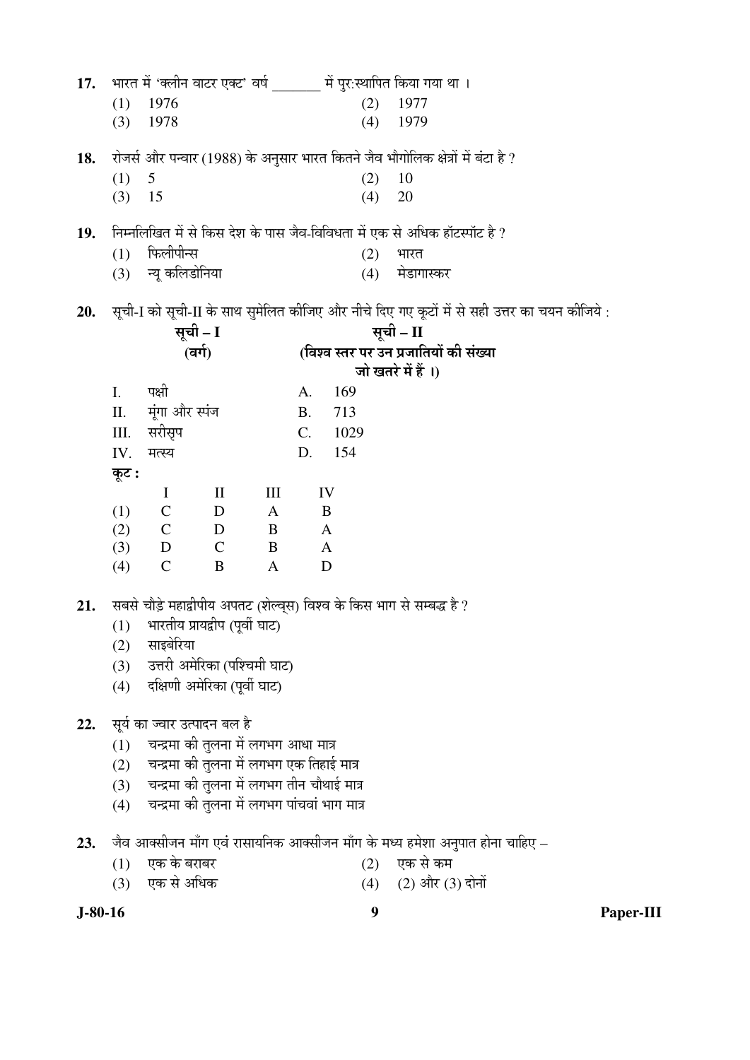|     |       |                              |                                      |              |           |              |     | 17. भारत में 'क्लीन वाटर एक्ट' वर्ष संपुर:स्थापित किया गया था ।                              |
|-----|-------|------------------------------|--------------------------------------|--------------|-----------|--------------|-----|----------------------------------------------------------------------------------------------|
|     | (1)   | 1976                         |                                      |              |           |              | (2) | 1977                                                                                         |
|     | (3)   | 1978                         |                                      |              |           | (4)          |     | 1979                                                                                         |
|     |       |                              |                                      |              |           |              |     |                                                                                              |
| 18. |       |                              |                                      |              |           |              |     | रोजर्स और पन्वार (1988) के अनुसार भारत कितने जैव भौगोलिक क्षेत्रों में बंटा है ?             |
|     | (1)   | 5                            |                                      |              |           | (2)          |     | 10                                                                                           |
|     | (3)   | 15                           |                                      |              |           | (4)          |     | 20                                                                                           |
| 19. |       |                              |                                      |              |           |              |     | निम्नलिखित में से किस देश के पास जैव-विविधता में एक से अधिक हॉटस्पॉट है ?                    |
|     | (1)   | फिलीपीन्स                    |                                      |              |           |              | (2) | भारत                                                                                         |
|     |       | (3) न्यू कलिडोनिया           |                                      |              |           |              | (4) | मेडागास्कर                                                                                   |
|     |       |                              |                                      |              |           |              |     |                                                                                              |
| 20. |       |                              |                                      |              |           |              |     | सूची-I को सूची-II के साथ सुमेलित कीजिए और नीचे दिए गए कूटों में से सही उत्तर का चयन कीजिये : |
|     |       |                              | सूची – I                             |              |           |              |     | सूची – II                                                                                    |
|     |       |                              | (वर्ग)                               |              |           |              |     | (विश्व स्तर पर उन प्रजातियों की संख्या                                                       |
|     |       |                              |                                      |              |           |              |     | जो खतरे में हैं ।)                                                                           |
|     | I.    | पक्षी                        |                                      |              | A.        | 169          |     |                                                                                              |
|     | II.   | मूंगा और स्पंज               |                                      |              | <b>B.</b> | 713          |     |                                                                                              |
|     | III.  | सरीसृप                       |                                      |              | C.        | 1029         |     |                                                                                              |
|     | IV.   | मत्स्य                       |                                      |              | D.        | 154          |     |                                                                                              |
|     | कूट : |                              |                                      |              |           |              |     |                                                                                              |
|     |       | $\bf{I}$                     | $\rm II$                             | III          |           | IV           |     |                                                                                              |
|     | (1)   | $\mathbf C$                  | D                                    | $\mathbf{A}$ |           | B            |     |                                                                                              |
|     | (2)   | $\mathbf C$                  | $\overline{D}$                       | B            |           | $\mathbf{A}$ |     |                                                                                              |
|     | (3)   | D C                          |                                      | B            |           | $\mathbf{A}$ |     |                                                                                              |
|     | (4)   | $\mathcal{C}$                | B                                    | $\mathbf{A}$ |           | D            |     |                                                                                              |
| 21. |       |                              |                                      |              |           |              |     | सबसे चौड़े महाद्वीपीय अपतट (शेल्व्स) विश्व के किस भाग से सम्बद्ध है ?                        |
|     | (1)   |                              | भारतीय प्रायद्वीप (पूर्वी घाट)       |              |           |              |     |                                                                                              |
|     |       | साइबेरिया                    |                                      |              |           |              |     |                                                                                              |
|     | (2)   |                              | उत्तरी अमेरिका (पश्चिमी घाट)         |              |           |              |     |                                                                                              |
|     | (3)   |                              |                                      |              |           |              |     |                                                                                              |
|     | (4)   |                              | दक्षिणी अमेरिका (पूर्वी घाट)         |              |           |              |     |                                                                                              |
| 22. |       | सूर्य का ज्वार उत्पादन बल है |                                      |              |           |              |     |                                                                                              |
|     | (1)   |                              | चन्द्रमा की तुलना में लगभग आधा मात्र |              |           |              |     |                                                                                              |

- (2) चन्द्रमा की तुलना में लगभग एक तिहाई मात्र
	- $(3)$  घन्द्रमा की तुलना में लगभग तीन चौथाई मात्र
	- $\widetilde{a}(4)$  वन्द्रमा की तुलना में लगभग पांचवां भाग मात्र
- **23.** •Öî¾Ö †ÖŒÃÖß•Ö®Ö ´ÖÖÑÝÖ ‹¾ÖÓ ¸üÖÃÖÖµÖ×®ÖÛú †ÖŒÃÖß•Ö®Ö ´ÖÖÑÝÖ Ûêú ´Ö¬µÖ Æü´Öê¿ÖÖ †®Öã¯ÖÖŸÖ ÆüÖê®ÖÖ "ÖÖׯü‹
	-
	- $(1)$  एक के बराबर  $(2)$ <br> $(3)$  एक से अधिक  $(4)$  $(3)$  एक से अधिक (4)  $(2)$  और  $(3)$  दोनों

**J-80-16 9 Paper-III**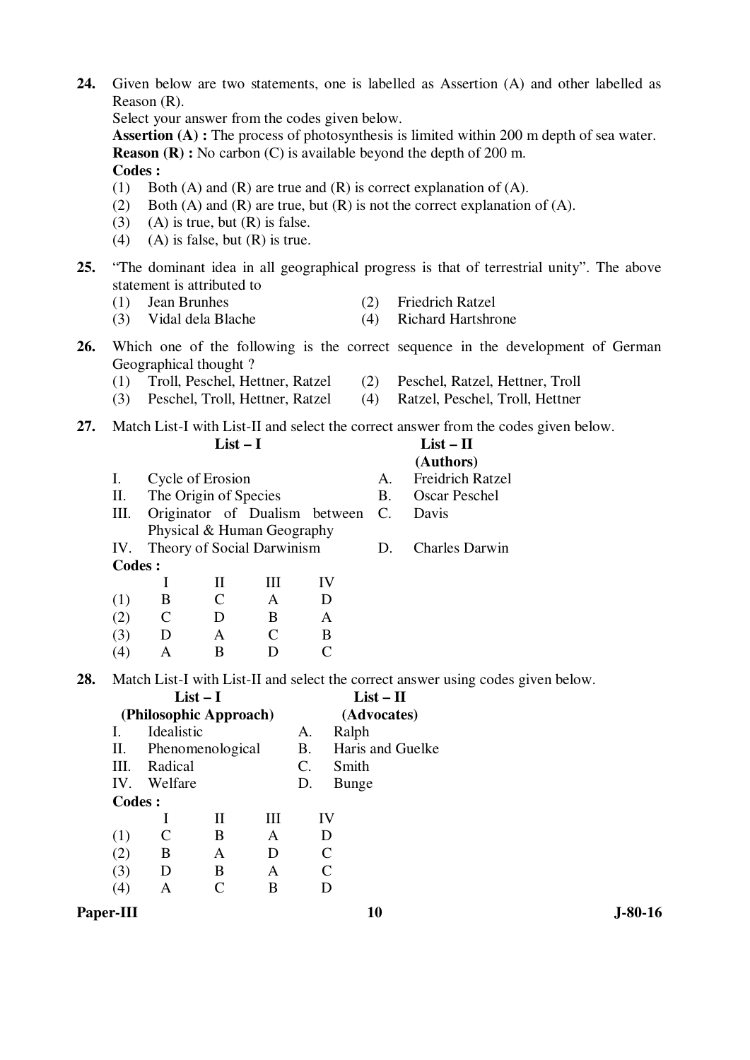| 24. |                                                                                            |                                                                    |                  |                    |                               |                       | Given below are two statements, one is labelled as Assertion (A) and other labelled as   |  |  |  |  |
|-----|--------------------------------------------------------------------------------------------|--------------------------------------------------------------------|------------------|--------------------|-------------------------------|-----------------------|------------------------------------------------------------------------------------------|--|--|--|--|
|     | Reason $(R)$ .                                                                             |                                                                    |                  |                    |                               |                       |                                                                                          |  |  |  |  |
|     | Select your answer from the codes given below.                                             |                                                                    |                  |                    |                               |                       |                                                                                          |  |  |  |  |
|     | Assertion (A): The process of photosynthesis is limited within 200 m depth of sea water.   |                                                                    |                  |                    |                               |                       |                                                                                          |  |  |  |  |
|     | <b>Reason (R)</b> : No carbon (C) is available beyond the depth of 200 m.<br><b>Codes:</b> |                                                                    |                  |                    |                               |                       |                                                                                          |  |  |  |  |
|     | Both (A) and (R) are true and (R) is correct explanation of (A).<br>(1)                    |                                                                    |                  |                    |                               |                       |                                                                                          |  |  |  |  |
|     | Both (A) and (R) are true, but (R) is not the correct explanation of (A).<br>(2)           |                                                                    |                  |                    |                               |                       |                                                                                          |  |  |  |  |
|     | (3)                                                                                        | $(A)$ is true, but $(R)$ is false.                                 |                  |                    |                               |                       |                                                                                          |  |  |  |  |
|     | (4)                                                                                        | $(A)$ is false, but $(R)$ is true.                                 |                  |                    |                               |                       |                                                                                          |  |  |  |  |
|     |                                                                                            |                                                                    |                  |                    |                               |                       |                                                                                          |  |  |  |  |
| 25. |                                                                                            | statement is attributed to                                         |                  |                    |                               |                       | "The dominant idea in all geographical progress is that of terrestrial unity". The above |  |  |  |  |
|     | (1)                                                                                        | Jean Brunhes                                                       |                  |                    |                               | (2)                   | <b>Friedrich Ratzel</b>                                                                  |  |  |  |  |
|     | (3)                                                                                        | Vidal dela Blache                                                  |                  |                    |                               | (4)                   | <b>Richard Hartshrone</b>                                                                |  |  |  |  |
|     |                                                                                            |                                                                    |                  |                    |                               |                       |                                                                                          |  |  |  |  |
| 26. |                                                                                            |                                                                    |                  |                    |                               |                       | Which one of the following is the correct sequence in the development of German          |  |  |  |  |
|     |                                                                                            | Geographical thought?                                              |                  |                    |                               |                       |                                                                                          |  |  |  |  |
|     | (1)<br>(3)                                                                                 | Troll, Peschel, Hettner, Ratzel<br>Peschel, Troll, Hettner, Ratzel |                  |                    |                               | (2)<br>(4)            | Peschel, Ratzel, Hettner, Troll<br>Ratzel, Peschel, Troll, Hettner                       |  |  |  |  |
|     |                                                                                            |                                                                    |                  |                    |                               |                       |                                                                                          |  |  |  |  |
| 27. |                                                                                            |                                                                    |                  |                    |                               |                       | Match List-I with List-II and select the correct answer from the codes given below.      |  |  |  |  |
|     |                                                                                            |                                                                    | $List-I$         |                    |                               |                       | $List - II$                                                                              |  |  |  |  |
|     |                                                                                            |                                                                    |                  |                    |                               |                       | (Authors)                                                                                |  |  |  |  |
|     | Ι.                                                                                         | Cycle of Erosion                                                   |                  |                    |                               | A.                    | <b>Freidrich Ratzel</b>                                                                  |  |  |  |  |
|     | II.<br>Ш.                                                                                  | The Origin of Species                                              |                  |                    | Originator of Dualism between | <b>B.</b><br>C.       | <b>Oscar Peschel</b><br>Davis                                                            |  |  |  |  |
|     |                                                                                            | Physical & Human Geography                                         |                  |                    |                               |                       |                                                                                          |  |  |  |  |
|     | IV.                                                                                        | Theory of Social Darwinism                                         |                  |                    |                               | D.                    | <b>Charles Darwin</b>                                                                    |  |  |  |  |
|     | Codes:                                                                                     |                                                                    |                  |                    |                               |                       |                                                                                          |  |  |  |  |
|     |                                                                                            | I                                                                  | $\rm II$         | $\mathop{\rm III}$ | IV                            |                       |                                                                                          |  |  |  |  |
|     | (1)                                                                                        | B                                                                  | $\mathsf{C}$     | A                  | D                             |                       |                                                                                          |  |  |  |  |
|     | (2)                                                                                        | $\mathcal{C}$                                                      | D                | B                  | A                             |                       |                                                                                          |  |  |  |  |
|     | (3)                                                                                        | D                                                                  | A                | $\mathsf{C}$       | B                             |                       |                                                                                          |  |  |  |  |
|     | (4)                                                                                        | A                                                                  | B                | D                  | $\mathsf{C}$                  |                       |                                                                                          |  |  |  |  |
| 28. |                                                                                            |                                                                    |                  |                    |                               |                       | Match List-I with List-II and select the correct answer using codes given below.         |  |  |  |  |
|     |                                                                                            |                                                                    | $List-I$         |                    |                               | $List - II$           |                                                                                          |  |  |  |  |
|     |                                                                                            | (Philosophic Approach)                                             |                  |                    |                               | (Advocates)           |                                                                                          |  |  |  |  |
|     | I.                                                                                         | Idealistic                                                         |                  |                    | A.                            | Ralph                 |                                                                                          |  |  |  |  |
|     | Π.                                                                                         | Phenomenological                                                   |                  |                    | <b>B.</b>                     |                       | Haris and Guelke                                                                         |  |  |  |  |
|     | III.<br>IV.                                                                                | Radical<br>Welfare                                                 |                  |                    | C.<br>D.                      | Smith<br><b>Bunge</b> |                                                                                          |  |  |  |  |
|     | <b>Codes:</b>                                                                              |                                                                    |                  |                    |                               |                       |                                                                                          |  |  |  |  |
|     |                                                                                            | $\bf{l}$                                                           | $\rm II$         | Ш                  | IV                            |                       |                                                                                          |  |  |  |  |
|     | (1)                                                                                        | $\mathcal{C}$                                                      | $\boldsymbol{B}$ | A                  | D                             |                       |                                                                                          |  |  |  |  |
|     | (2)                                                                                        | B                                                                  | A                | D                  | $\mathcal{C}$                 |                       |                                                                                          |  |  |  |  |

**Paper-III** 10 J-80-16

 (3) D B A C (4) A C B D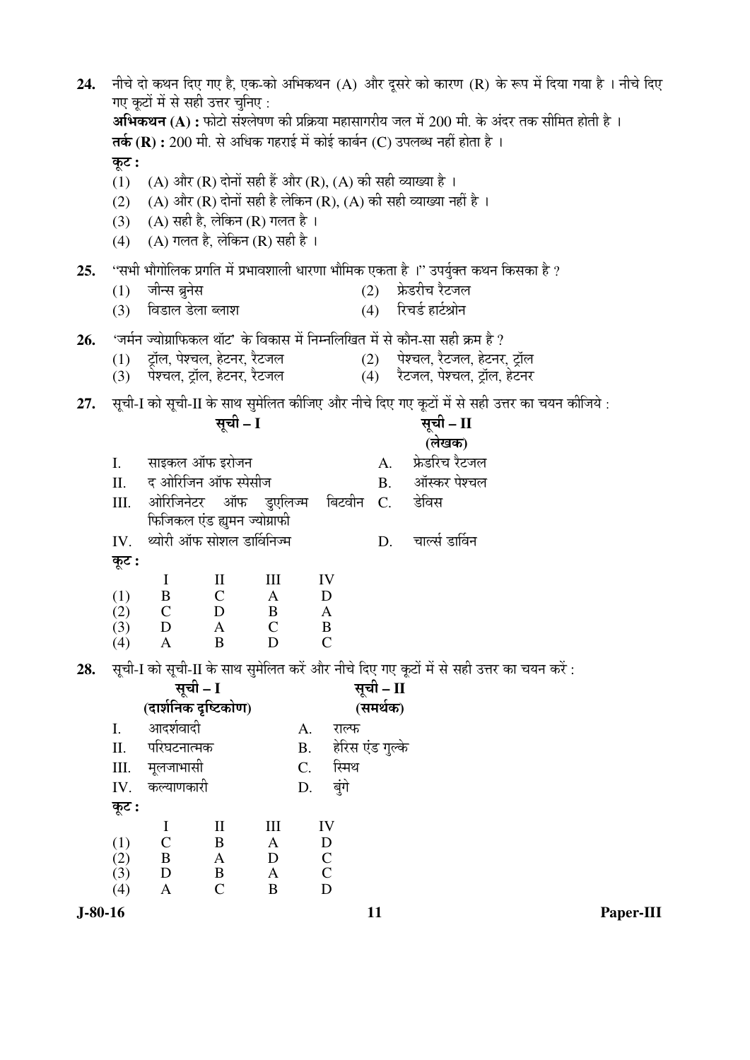नीचे दो कथन दिए गए है, एक-को अभिकथन (A) और दुसरे को कारण (R) के रूप में दिया गया है । नीचे दिए 24. गए कटों में से सही उत्तर चनिए : अभिकथन (A) : फोटो संश्लेषण की प्रक्रिया महासागरीय जल में 200 मी. के अंदर तक सीमित होती है । तर्क (R) : 200 मी. से अधिक गहराई में कोई कार्बन (C) उपलब्ध नहीं होता है । कुट: (1) (A) और (R) दोनों सही हैं और (R), (A) की सही व्याख्या है । (2) (A) और (R) दोनों सही है लेकिन (R), (A) की सही व्याख्या नहीं है । (3) (A) सही है, लेकिन (R) गलत है। (4) (A) गलत है, लेकिन (R) सही है । ''सभी भौगोलिक प्रगति में प्रभावशाली धारणा भौमिक एकता है ।'' उपर्युक्त कथन किसका है ? 25. जीन्स ब्रुनेस (2) फ्रेडरीच रैटजल  $(1)$ (4) रिचर्ड हार्टश्रोन विडाल डेला ब्लाश  $(3)$ 'जर्मन ज्योग्राफिकल थॉट' के विकास में निम्नलिखित में से कौन-सा सही क्रम है ? 26. टॉल, पेश्चल, हेटनर, रैटजल पेश्चल, रैटजल, हेटनर, टॉल  $(1)$  $(2)$ पेश्चल, ट्रॉल, हेटनर, रैटजल (4) रैटजल, पेश्चल, ट्रॉल, हेटनर  $(3)$ सूची-I को सूची-II के साथ सुमेलित कीजिए और नीचे दिए गए कुटों में से सही उत्तर का चयन कीजिये : 27. सची - I सूची – II (लेखक) साइकल ऑफ इरोजन  $\overline{I}$ .  $\mathbf{A}$ फ्रेडरिच रैटजल  $\Pi$ . द ओरिजिन ऑफ स्पेसीज ऑस्कर पेश्चल  $B<sub>1</sub>$ डेविस  $III.$ ओरिजिनेटर ऑफ डुएलिज्म बिटवीन C. फिजिकल एंड ह्यूमन ज्योग्राफी थ्योरी ऑफ सोशल डार्विनिज्म चार्ल्स डार्विन IV. D. कट:  $\mathbf I$  $\mathbf{I}$  $\rm III$ IV B  $\mathcal{C}$ D  $(1)$  $\mathbf{A}$ D  $(2)$  $\mathsf{C}$  $\mathbf{B}$  $\overline{A}$  $(3)$  $\mathbf D$  $\mathbf C$  $\mathbf{A}$  $\bf{B}$  $\overline{B}$  $\overline{D}$  $\mathcal{C}$  $(4)$  $\mathbf{A}$ सूची-I को सूची-II के साथ सुमेलित करें और नीचे दिए गए कूटों में से सही उत्तर का चयन करें : 28. सूची - I सची – II (दार्शनिक दृष्टिकोण) (समर्थक) आदर्शवादी  $\mathbf{I}$ . राल्फ A. हेरिस एंड गल्के  $\Pi$ . परिघटनात्मक  $B<sub>1</sub>$ स्मिथ III. मलजाभासी  $C_{\cdot}$ बुंगे कल्याणकारी IV. D. कुट:  $\mathbf I$  $\mathbf{I}$  $III$ IV  $\mathbf C$  $\mathbf{B}$  $\mathbf{A}$ D  $(1)$  $\mathbf D$  $\mathcal{C}$  $(2)$ B  $\mathbf{A}$  $(3)$ D  $\mathbf{B}$  $\mathbf{A}$  $\mathcal{C}$  $\mathcal{C}$  $\overline{A}$  $\mathbf{B}$ D  $(4)$  $J-80-16$ 11 Paper-III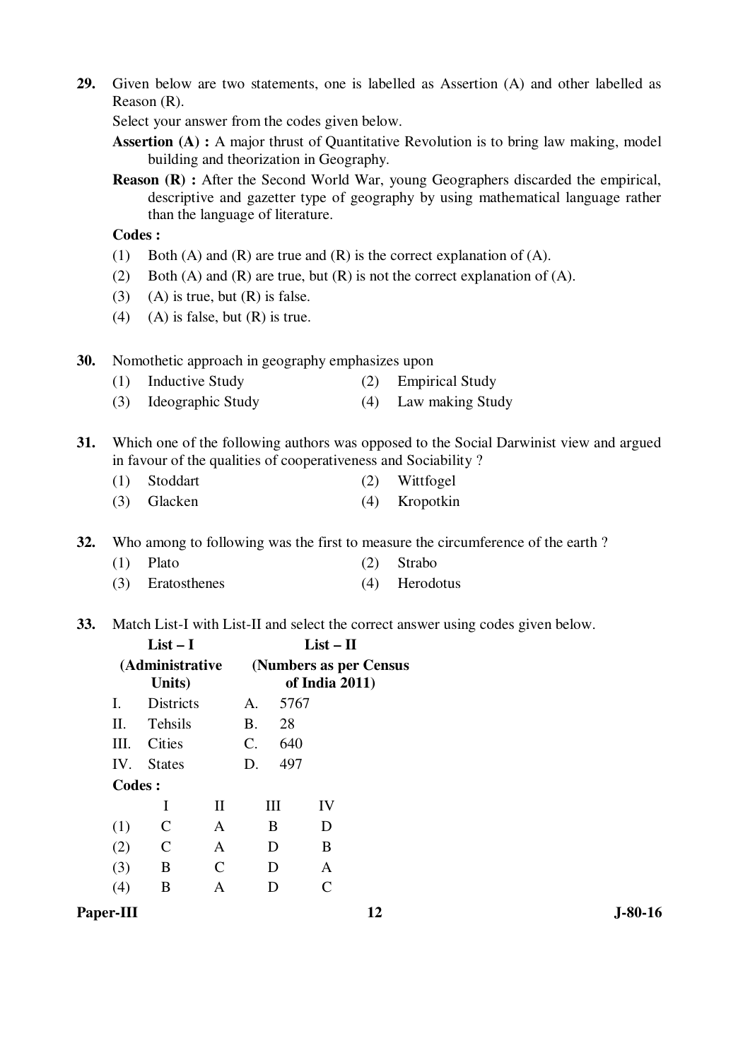**29.** Given below are two statements, one is labelled as Assertion (A) and other labelled as Reason (R).

Select your answer from the codes given below.

- **Assertion (A) :** A major thrust of Quantitative Revolution is to bring law making, model building and theorization in Geography.
- **Reason (R) :** After the Second World War, young Geographers discarded the empirical, descriptive and gazetter type of geography by using mathematical language rather than the language of literature.

 **Codes :** 

- (1) Both (A) and (R) are true and (R) is the correct explanation of (A).
- (2) Both (A) and (R) are true, but (R) is not the correct explanation of (A).
- (3) (A) is true, but  $(R)$  is false.
- (4) (A) is false, but  $(R)$  is true.

**30.** Nomothetic approach in geography emphasizes upon

- (1) Inductive Study (2) Empirical Study
- (3) Ideographic Study (4) Law making Study
- **31.** Which one of the following authors was opposed to the Social Darwinist view and argued in favour of the qualities of cooperativeness and Sociability ?
	- (1) Stoddart (2) Wittfogel
	- (3) Glacken (4) Kropotkin

**32.** Who among to following was the first to measure the circumference of the earth ?

- (1) Plato (2) Strabo
	- (3) Eratosthenes (4) Herodotus
- **33.** Match List-I with List-II and select the correct answer using codes given below.

|        | $List-I$                  |              |             | $List - II$                              |    |  |  |  |
|--------|---------------------------|--------------|-------------|------------------------------------------|----|--|--|--|
|        | (Administrative<br>Units) |              |             | (Numbers as per Census<br>of India 2011) |    |  |  |  |
| I.     | <b>Districts</b>          |              | A.          | 5767                                     |    |  |  |  |
| П.     | Tehsils                   |              | B.          | 28                                       |    |  |  |  |
| III.   | Cities                    |              | $C_{\cdot}$ | 640                                      |    |  |  |  |
|        | IV. States                |              | D.          | 497                                      |    |  |  |  |
| Codes: |                           |              |             |                                          |    |  |  |  |
|        | I                         | $\mathbf{I}$ |             | Ш                                        | IV |  |  |  |
| (1)    | $\mathsf{C}$              | $\mathsf{A}$ |             | B                                        | D  |  |  |  |
| (2)    | $\mathsf{C}$              | A            |             | D                                        | B  |  |  |  |
| (3)    | B                         | C            |             | D                                        | A  |  |  |  |
|        | B                         | А            |             |                                          | C  |  |  |  |
|        |                           |              |             |                                          |    |  |  |  |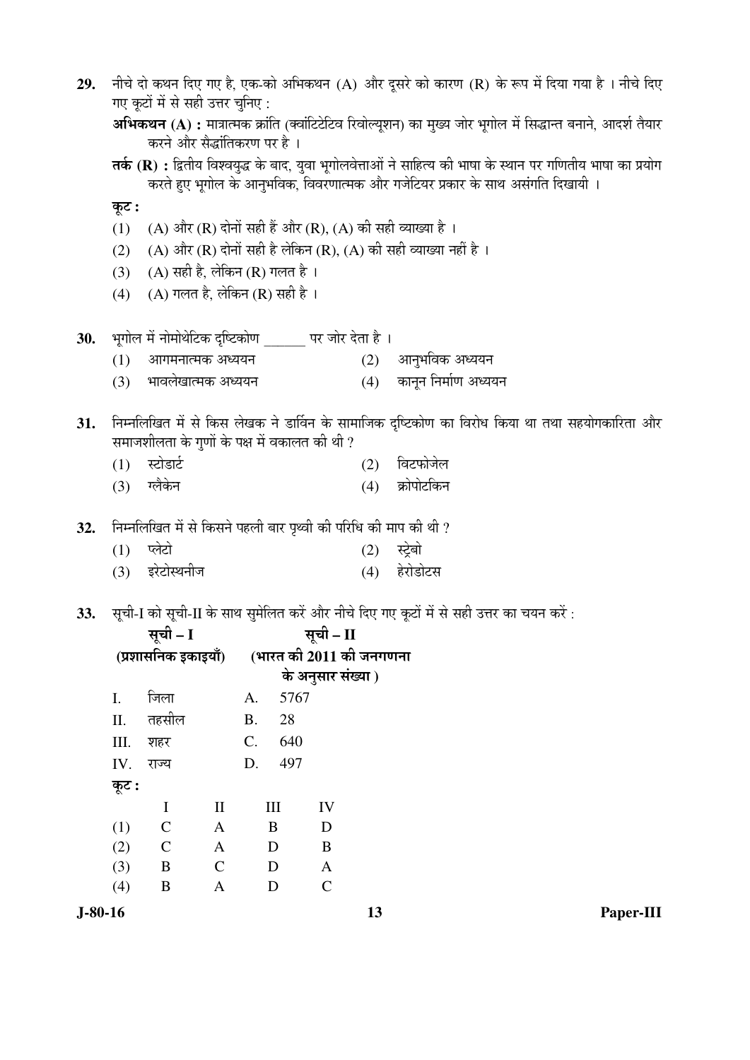| 29. | नीचे दो कथन दिए गए है, एक-को अभिकथन (A) और दूसरे को कारण (R) के रूप में दिया गया है । नीचे दिए                                                |                                                                 |                            |           |        |                         |     |                                                                                                |  |  |  |  |
|-----|-----------------------------------------------------------------------------------------------------------------------------------------------|-----------------------------------------------------------------|----------------------------|-----------|--------|-------------------------|-----|------------------------------------------------------------------------------------------------|--|--|--|--|
|     | गए कूटों में से सही उत्तर चुनिए :                                                                                                             |                                                                 |                            |           |        |                         |     |                                                                                                |  |  |  |  |
|     | अभिकथन (A) : मात्रात्मक क्रांति (क्वांटिटेटिव रिवोल्यूशन) का मुख्य जोर भूगोल में सिद्धान्त बनाने, आदर्श तैयार<br>करने और सैद्धांतिकरण पर है । |                                                                 |                            |           |        |                         |     |                                                                                                |  |  |  |  |
|     | तर्क (R) : द्वितीय विश्वयुद्ध के बाद, युवा भूगोलवेत्ताओं ने साहित्य की भाषा के स्थान पर गणितीय भाषा का प्रयोग                                 |                                                                 |                            |           |        |                         |     |                                                                                                |  |  |  |  |
|     | करते हुए भूगोल के आनुभविक, विवरणात्मक और गजेटियर प्रकार के साथ असंगति दिखायी ।                                                                |                                                                 |                            |           |        |                         |     |                                                                                                |  |  |  |  |
|     | कूट :                                                                                                                                         |                                                                 |                            |           |        |                         |     |                                                                                                |  |  |  |  |
|     | (1)                                                                                                                                           | (A) और (R) दोनों सही हैं और (R), (A) की सही व्याख्या है ।       |                            |           |        |                         |     |                                                                                                |  |  |  |  |
|     | (2)                                                                                                                                           |                                                                 |                            |           |        |                         |     | (A) और (R) दोनों सही है लेकिन (R), (A) की सही व्याख्या नहीं है ।                               |  |  |  |  |
|     | (3)                                                                                                                                           | (A) सही है, लेकिन (R) गलत है।                                   |                            |           |        |                         |     |                                                                                                |  |  |  |  |
|     | (4)                                                                                                                                           | (A) गलत है, लेकिन (R) सही है ।                                  |                            |           |        |                         |     |                                                                                                |  |  |  |  |
| 30. |                                                                                                                                               | भूगोल में नोमोथेटिक दृष्टिकोण           पर जोर देता है ।        |                            |           |        |                         |     |                                                                                                |  |  |  |  |
|     | (1)                                                                                                                                           | आगमनात्मक अध्ययन                                                |                            |           |        |                         | (2) | आनुभविक अध्ययन                                                                                 |  |  |  |  |
|     | (3)                                                                                                                                           | भावलेखात्मक अध्ययन                                              |                            |           |        |                         | (4) | कानून निर्माण अध्ययन                                                                           |  |  |  |  |
| 31. |                                                                                                                                               |                                                                 |                            |           |        |                         |     | निम्नलिखित में से किस लेखक ने डार्विन के सामाजिक दृष्टिकोण का विरोध किया था तथा सहयोगकारिता और |  |  |  |  |
|     |                                                                                                                                               | समाजशीलता के गुणों के पक्ष में वकालत की थी ?                    |                            |           |        |                         |     |                                                                                                |  |  |  |  |
|     | (1)                                                                                                                                           | स्टोडार्ट                                                       |                            |           |        |                         | (2) | विटफोजेल                                                                                       |  |  |  |  |
|     | (3)                                                                                                                                           | ग्लैकेन                                                         |                            |           |        |                         | (4) | क्रोपोटकिन                                                                                     |  |  |  |  |
| 32. |                                                                                                                                               | निम्नलिखित में से किसने पहली बार पृथ्वी की परिधि की माप की थी ? |                            |           |        |                         |     |                                                                                                |  |  |  |  |
|     | (1)                                                                                                                                           | प्लेटो                                                          |                            |           |        |                         | (2) | स्ट्रेबो                                                                                       |  |  |  |  |
|     | (3)                                                                                                                                           | इरेटोस्थनीज                                                     |                            |           |        |                         | (4) | हेरोडोटस                                                                                       |  |  |  |  |
| 33. |                                                                                                                                               |                                                                 |                            |           |        |                         |     | सूची-I को सूची-II के साथ सुमेलित करें और नीचे दिए गए कूटों में से सही उत्तर का चयन करें :      |  |  |  |  |
|     |                                                                                                                                               |                                                                 |                            |           |        | सूची – II               |     |                                                                                                |  |  |  |  |
|     |                                                                                                                                               | सूची – I<br>(प्रशासनिक इकाइयाँ)                                 |                            |           |        | (भारत की 2011 की जनगणना |     |                                                                                                |  |  |  |  |
|     |                                                                                                                                               |                                                                 |                            |           |        | के अनुसार संख्या )      |     |                                                                                                |  |  |  |  |
|     | I.                                                                                                                                            | जिला                                                            |                            | A.        | 5767   |                         |     |                                                                                                |  |  |  |  |
|     | Π.                                                                                                                                            | तहसील                                                           |                            | <b>B.</b> | $28\,$ |                         |     |                                                                                                |  |  |  |  |
|     | III.                                                                                                                                          | शहर                                                             |                            | C.        | 640    |                         |     |                                                                                                |  |  |  |  |
|     | IV.                                                                                                                                           | राज्य                                                           |                            | D.        | 497    |                         |     |                                                                                                |  |  |  |  |
|     | कूट :                                                                                                                                         |                                                                 |                            |           |        |                         |     |                                                                                                |  |  |  |  |
|     |                                                                                                                                               | $\bf{I}$                                                        | $\mathop{\rm II}\nolimits$ |           | III    | IV                      |     |                                                                                                |  |  |  |  |
|     | (1)                                                                                                                                           | $\mathbf C$                                                     | $\mathbf{A}$               |           | B      | D                       |     |                                                                                                |  |  |  |  |
|     | (2)                                                                                                                                           | $\mathbf C$                                                     | $\mathbf{A}$               |           | D      | $\, {\bf B}$            |     |                                                                                                |  |  |  |  |
|     | (3)                                                                                                                                           | $\, {\bf B}$                                                    | $\mathcal{C}$              |           | D      | $\mathbf{A}$            |     |                                                                                                |  |  |  |  |
|     | (4)                                                                                                                                           | $\, {\bf B}$                                                    | $\boldsymbol{A}$           |           | D      | $\mathbf C$             |     |                                                                                                |  |  |  |  |

**J-80-16 13 Paper-III**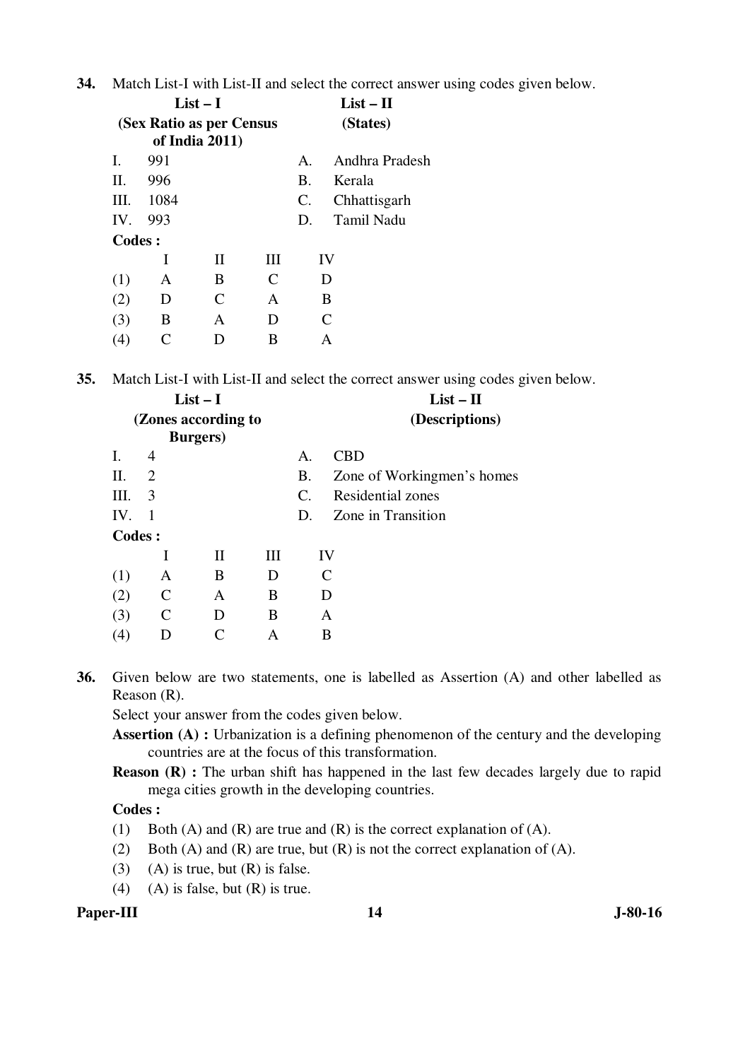**34.** Match List-I with List-II and select the correct answer using codes given below.

|          |                          | $List-I$       |   | $List - II$    |                |
|----------|--------------------------|----------------|---|----------------|----------------|
|          | (Sex Ratio as per Census | of India 2011) |   | (States)       |                |
| L.       | 991                      |                |   | $\mathbf{A}$   | Andhra Pradesh |
| H.       | 996                      |                |   | Β.             | Kerala         |
| III.     | 1084                     |                |   | $\mathbf{C}$ . | Chhattisgarh   |
| $IV_{-}$ | 993                      |                |   | D.             | Tamil Nadu     |
| Codes:   |                          |                |   |                |                |
|          | I                        | H              | Ш |                | IV             |
| (1)      | A                        | B              | C |                | D              |
| (2)      | D                        | $\mathsf{C}$   | A |                | B              |
| (3)      | B                        | A              | D |                | C              |
| 4)       |                          | Ð              | В |                | А              |

**35.** Match List-I with List-II and select the correct answer using codes given below.

|         |    | $List-I$            |                |                       | $List - II$                |
|---------|----|---------------------|----------------|-----------------------|----------------------------|
|         |    | (Zones according to | (Descriptions) |                       |                            |
|         |    | <b>Burgers</b> )    |                |                       |                            |
| Ι.      | 4  |                     |                | A.                    | <b>CBD</b>                 |
| П.      | 2  |                     |                | Β.                    | Zone of Workingmen's homes |
| III.    | 3  |                     |                | $\mathcal{C}_{\cdot}$ | <b>Residential zones</b>   |
| IV.     | -1 |                     |                | D.                    | Zone in Transition         |
| Codes : |    |                     |                |                       |                            |
|         |    | П                   | III            |                       | IV                         |
| (1)     | A  | B                   | D              |                       | C                          |
| (2)     | C  | A                   | B              |                       | D                          |
| (3)     | C  | D                   | B              |                       | A                          |
| (4)     | D  |                     | А              |                       | B                          |
|         |    |                     |                |                       |                            |

**36.** Given below are two statements, one is labelled as Assertion (A) and other labelled as Reason (R).

Select your answer from the codes given below.

**Assertion (A) :** Urbanization is a defining phenomenon of the century and the developing countries are at the focus of this transformation.

**Reason (R)** : The urban shift has happened in the last few decades largely due to rapid mega cities growth in the developing countries.

#### **Codes :**

- (1) Both (A) and (R) are true and (R) is the correct explanation of (A).
- (2) Both (A) and (R) are true, but (R) is not the correct explanation of (A).
- (3) (A) is true, but  $(R)$  is false.
- (4) (A) is false, but  $(R)$  is true.

## **Paper-III** J-80-16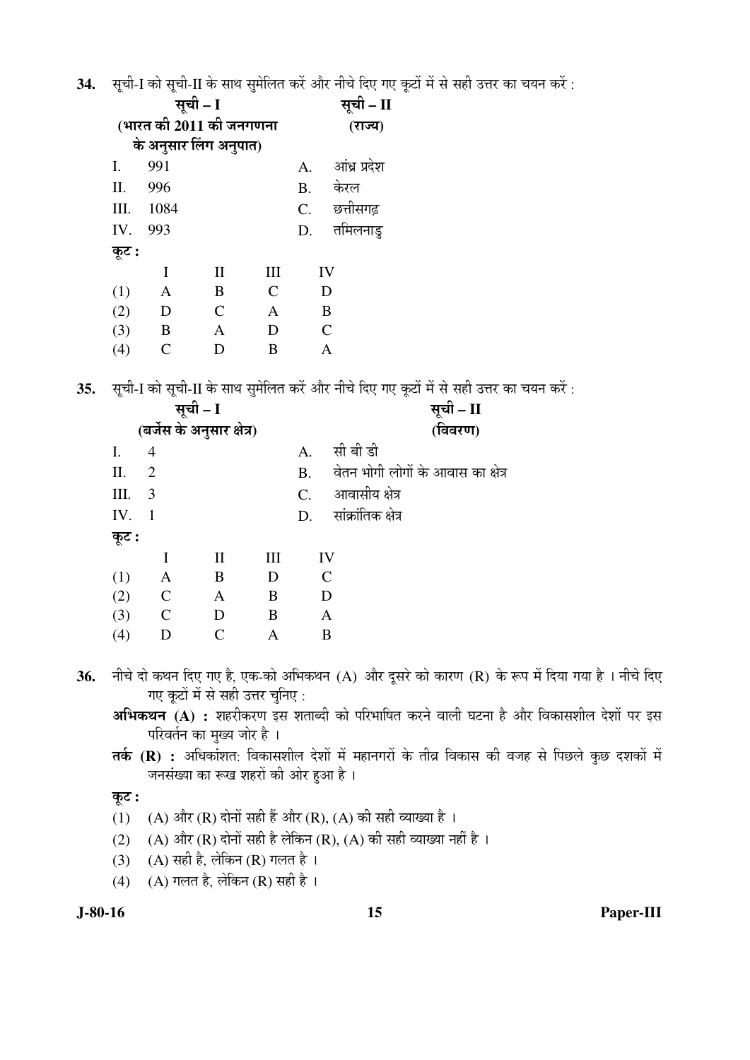34. सची-I को सची-II के साथ समेलित करें और नीचे दिए गए कटों में से सही उत्तर का चयन करें :

|       |      | सूची - I                | सूची – II |                          |
|-------|------|-------------------------|-----------|--------------------------|
|       |      | (भारत की 2011 की जनगणना | (राज्य)   |                          |
|       |      | के अनुसार लिंग अनुपात)  |           |                          |
| I.    | 991  |                         |           | आंध्र प्रदेश<br>A.       |
| II.   | 996  |                         |           | केरल<br><b>B.</b>        |
| III.  | 1084 |                         |           | छत्तीसगढ़<br>$C_{\cdot}$ |
| IV.   | 993  |                         |           | तमिलनाडु<br>D.           |
| कूट : |      |                         |           |                          |
|       | I    | $\mathbf{I}$            | III       | IV                       |
| (1)   | Α    | B                       | C         | D                        |
| (2)   | D    | $\mathsf{C}$            | A         | B                        |
| (3)   | B    | A                       | D         | $\mathsf{C}$             |
| (4)   |      | D                       | B         | Α                        |

35. सूची-I को सूची-II के साथ सुमेलित करें और नीचे दिए गए कूटों में से सही उत्तर का चयन करें :

|       |                | सूची – I                   |                | सूची – II                          |
|-------|----------------|----------------------------|----------------|------------------------------------|
|       |                | (बर्जेस के अनुसार क्षेत्र) |                | (विवरण)                            |
| Ι.    | 4              |                            | $\mathsf{A}$ . | सी बी डी                           |
| П.    | $\overline{2}$ |                            | <b>B.</b>      | वेतन भोगी लोगों के आवास का क्षेत्र |
| III.  | 3              |                            | $C_{\cdot}$    | आवासीय क्षेत्र                     |
| IV.   | $\overline{1}$ |                            | D.             | सांक्रांतिक क्षेत्र                |
| कूट : |                |                            |                |                                    |
|       | I              | $\mathbf{I}$               | Ш              | IV                                 |
| (1)   | $\mathbf{A}$   | B                          | D              | $\mathsf{C}$                       |
| (2)   | $\mathbf C$    | $\mathbf{A}$               | B              | D                                  |
| (3)   | $\mathbf C$    | D                          | B              | A                                  |
| (4)   | D              | $\subset$                  | A              | B                                  |

नीचे दो कथन दिए गए है, एक-को अभिकथन (A) और दूसरे को कारण (R) के रूप में दिया गया है । नीचे दिए 36. गए कटों में से सही उत्तर चुनिए :

अभिकथन (A) : शहरीकरण इस शताब्दी को परिभाषित करने वाली घटना है और विकासशील देशों पर इस परिवर्तन का मुख्य जोर है।

तर्क (R) : अधिकांशत: विकासशील देशों में महानगरों के तीव्र विकास की वजह से पिछले कुछ दशकों में जनसंख्या का रूख शहरों की ओर हुआ है।

कूट :

- (1) (A) और (R) दोनों सही हैं और (R), (A) की सही व्याख्या है ।
- (2) (A) और (R) दोनों सही है लेकिन (R), (A) की सही व्याख्या नहीं है ।
- (3) (A) सही है, लेकिन (R) गलत है।
- (4) (A) गलत है, लेकिन (R) सही है।

 $J-80-16$ 

Paper-III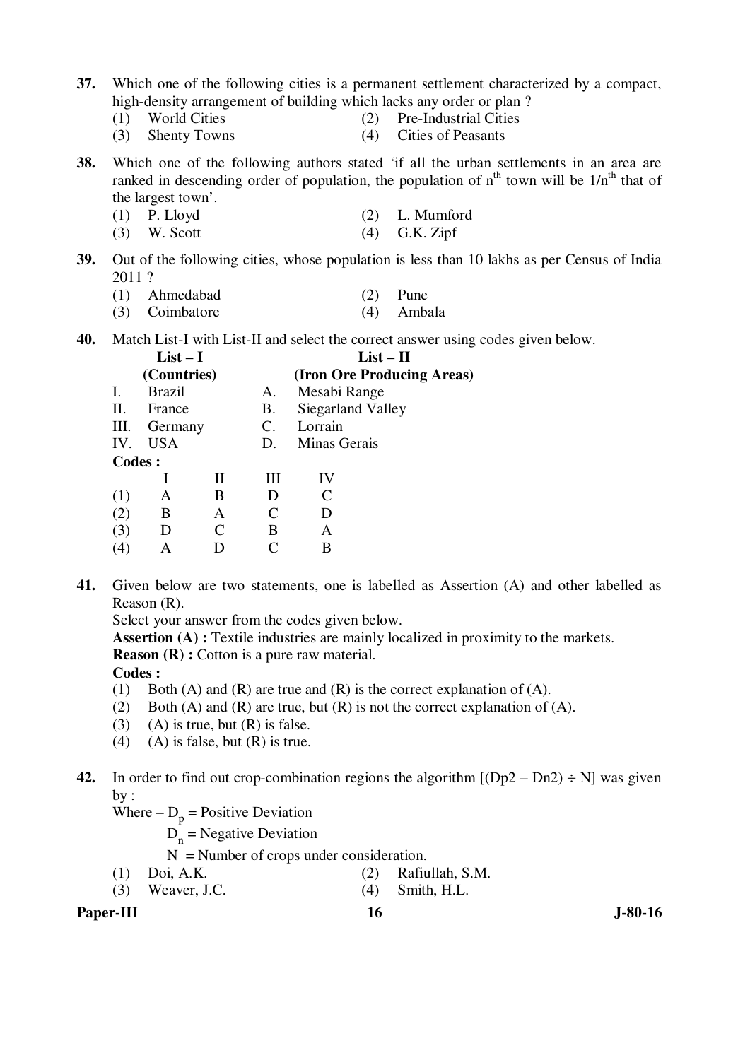- **37.** Which one of the following cities is a permanent settlement characterized by a compact, high-density arrangement of building which lacks any order or plan ?
	-
	- (1) World Cities (2) Pre-Industrial Cities
	- (3) Shenty Towns (4) Cities of Peasants
- **38.** Which one of the following authors stated 'if all the urban settlements in an area are ranked in descending order of population, the population of  $n<sup>th</sup>$  town will be  $1/n<sup>th</sup>$  that of the largest town'.
	- (1) P. Lloyd (2) L. Mumford
	- (3) W. Scott (4) G.K. Zipf
- **39.** Out of the following cities, whose population is less than 10 lakhs as per Census of India 2011 ?
	- (1) Ahmedabad (2) Pune
	- (3) Coimbatore (4) Ambala

**40.** Match List-I with List-II and select the correct answer using codes given below.

|               | $List - I$    |   |    | $List-II$                  |  |  |
|---------------|---------------|---|----|----------------------------|--|--|
|               | (Countries)   |   |    | (Iron Ore Producing Areas) |  |  |
| Ι.            | <b>Brazil</b> |   | A. | Mesabi Range               |  |  |
| П.            | France        |   | В. | Siegarland Valley          |  |  |
| Ш.            | Germany       |   | C. | Lorrain                    |  |  |
| IV.           | USA           |   | D. | Minas Gerais               |  |  |
| <b>Codes:</b> |               |   |    |                            |  |  |
|               |               | Н | Ш  | IV                         |  |  |
| (1)           | А             | B | D  | C                          |  |  |
| (2)           | B             | A |    | D                          |  |  |
| (3)           | D             | C | B  | A                          |  |  |
| (4)           |               |   |    | В                          |  |  |

**41.** Given below are two statements, one is labelled as Assertion (A) and other labelled as Reason (R).

Select your answer from the codes given below.

**Assertion (A) :** Textile industries are mainly localized in proximity to the markets.

**Reason (R) :** Cotton is a pure raw material.

 **Codes :** 

- (1) Both (A) and (R) are true and (R) is the correct explanation of (A).
- (2) Both (A) and (R) are true, but (R) is not the correct explanation of (A).
- (3) (A) is true, but  $(R)$  is false.
- (4) (A) is false, but  $(R)$  is true.

**42.** In order to find out crop-combination regions the algorithm  $[(Dp2 - Dn2) \div N]$  was given by :

- Where  $-D_p$  = Positive Deviation
- $D_n$  = Negative Deviation
	- $N =$  Number of crops under consideration.
	- (1) Doi, A.K. (2) Rafiullah, S.M.
	- (3) Weaver, J.C. (4) Smith, H.L.

Paper-III **16** J-80-16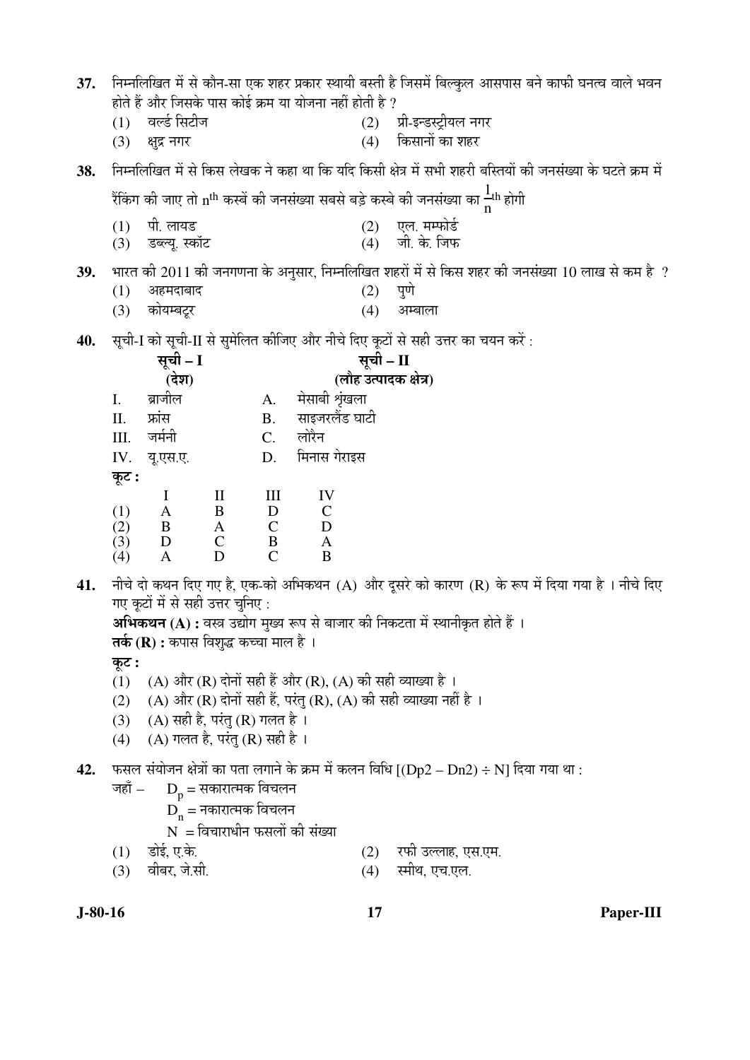| 37. |            |                                               |                          |                             |                                                        |           | निम्नलिखित में से कौन-सा एक शहर प्रकार स्थायी बस्ती है जिसमें बिल्कुल आसपास बने काफी घनत्व वाले भवन         |
|-----|------------|-----------------------------------------------|--------------------------|-----------------------------|--------------------------------------------------------|-----------|-------------------------------------------------------------------------------------------------------------|
|     |            |                                               |                          |                             | होते हैं और जिसके पास कोई क्रम या योजना नहीं होती है ? |           |                                                                                                             |
|     | (1)<br>(3) | वर्ल्ड सिटीज<br>क्षुद्र नगर                   |                          |                             |                                                        |           | (2) प्री-इन्डस्ट्रीयल नगर<br>(4) किसानों का शहर                                                             |
|     |            |                                               |                          |                             |                                                        |           |                                                                                                             |
| 38. |            |                                               |                          |                             |                                                        |           | निम्नलिखित में से किस लेखक ने कहा था कि यदि किसी क्षेत्र में सभी शहरी बस्तियों की जनसंख्या के घटते क्रम में |
|     |            |                                               |                          |                             |                                                        |           | रैंकिंग की जाए तो n <sup>th</sup> कस्बें की जनसंख्या सबसे बड़े कस्बे की जनसंख्या का <mark>+</mark> th होगी  |
|     | (1)        | पी. लायड                                      |                          |                             |                                                        |           | (2) एल. मम्फोर्ड<br>(4) जी. के. जिफ                                                                         |
|     | (3)        | डब्ल्यू. स्कॉट                                |                          |                             |                                                        |           |                                                                                                             |
| 39. |            |                                               |                          |                             |                                                        |           | भारत की 2011 की जनगणना के अनुसार, निम्नलिखित शहरों में से किस शहर की जनसंख्या 10 लाख से कम है ?             |
|     | (1)        | अहमदाबाद                                      |                          |                             |                                                        | (2)       | पुणे                                                                                                        |
|     | (3)        | कोयम्बट्र                                     |                          |                             |                                                        | (4)       | अम्बाला                                                                                                     |
| 40. |            |                                               |                          |                             |                                                        |           | सूची-I को सूची-II से सुमेलित कीजिए और नीचे दिए कूटों से सही उत्तर का चयन करें :                             |
|     |            | सूची - I                                      |                          |                             |                                                        | सूची – II |                                                                                                             |
|     |            | (देश)                                         |                          |                             |                                                        |           | (लौह उत्पादक क्षेत्र)                                                                                       |
|     | I.         | ब्राजील                                       |                          | A.                          | मेसाबी श्रृंखला                                        |           |                                                                                                             |
|     | II.        | फ्रांस                                        |                          | <b>B.</b>                   | साइजरलैंड घाटी                                         |           |                                                                                                             |
|     | III.       | जर्मनी                                        |                          | $C_{\cdot}$                 | लोरैन                                                  |           |                                                                                                             |
|     | IV.        | यू.एस.ए.                                      |                          | D.                          | मिनास गेराइस                                           |           |                                                                                                             |
|     | कूट :      |                                               |                          |                             |                                                        |           |                                                                                                             |
|     |            | $\mathbf I$                                   | $\mathbf{I}$             | III                         | IV                                                     |           |                                                                                                             |
|     | (1)<br>(2) | $\mathbf{A}$<br>B                             | $\bf{B}$<br>$\mathbf{A}$ | $\mathbf D$<br>$\mathsf{C}$ | $\mathbf C$<br>D                                       |           |                                                                                                             |
|     | (3)        | D                                             | $\mathbf C$              | $\bf{B}$                    | $\mathbf{A}$                                           |           |                                                                                                             |
|     | (4)        | $\mathbf{A}$                                  | D                        | $\mathsf{C}$                | $\bf{B}$                                               |           |                                                                                                             |
| 41. |            |                                               |                          |                             |                                                        |           | नीचे दो कथन दिए गए है, एक-को अभिकथन (A) और दूसरे को कारण (R) के रूप में दिया गया है । नीचे दिए              |
|     |            | गए कूटों में से सही उत्तर चुनिए :             |                          |                             |                                                        |           |                                                                                                             |
|     |            |                                               |                          |                             |                                                        |           | <b>अभिकथन (A) :</b> वस्त्र उद्योग मुख्य रूप से बाजार की निकटता में स्थानीकृत होते हैं ।                     |
|     |            | <b>तर्क (R) :</b> कपास विशुद्ध कच्चा माल है । |                          |                             |                                                        |           |                                                                                                             |
|     | कूट :      |                                               |                          |                             |                                                        |           |                                                                                                             |
|     | (1)        |                                               |                          |                             |                                                        |           | (A) और (R) दोनों सही हैं और (R), (A) की सही व्याख्या है ।                                                   |
|     | (2)        |                                               |                          |                             |                                                        |           | (A) और (R) दोनों सही हैं, परंतु (R), (A) की सही व्याख्या नहीं है ।                                          |

- (3) (A) सही है, परंतु (R) गलत है ।
	- $(4)$   $(A)$  गलत है, परंतु (R) सही है।

 $42.$  फसल संयोजन क्षेत्रों का पता लगाने के क्रम में कलन विधि  $[ (Dp2 - Dn2) \div N]$  दिया गया था :

- जहाँ  $D_p = \overline{v}$ सकारात्मक विचलन
- $\overline{\mathbf{D}_\mathbf{n}}$  = नकारात्मक विचलन
	- $N = \hat{a}$ विचाराधीन फसलों की संख्या $\hat{a}$ डोई, ए.के.

- 
- (1) ›üÖê‡Ô, ‹.Ûêú. (2) ¸ü±úß ˆ»»ÖÖÆü, ‹ÃÖ.‹´Ö.  $(3)$  वीबर, जे.सी.  $(4)$  स्मीथ, एच.एल.

**J-80-16 17 Paper-III**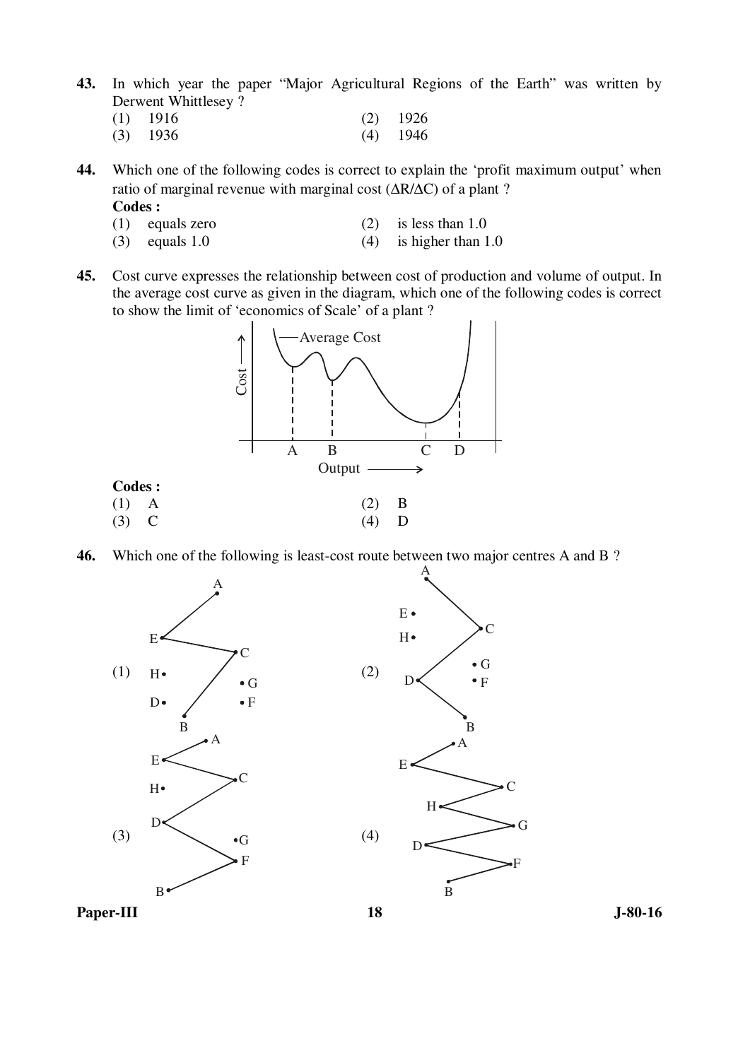- **43.** In which year the paper "Major Agricultural Regions of the Earth" was written by Derwent Whittlesey ?
- (1) 1916 (2) 1926 (3) 1936 (4) 1946

**44.** Which one of the following codes is correct to explain the 'profit maximum output' when ratio of marginal revenue with marginal cost (∆R/∆C) of a plant ?

- **Codes :**
- (1) equals zero (2) is less than 1.0
- (3) equals  $1.0$  (4) is higher than  $1.0$
- **45.** Cost curve expresses the relationship between cost of production and volume of output. In the average cost curve as given in the diagram, which one of the following codes is correct to show the limit of 'economics of Scale' of a plant ?



**46.** Which one of the following is least-cost route between two major centres A and B ?

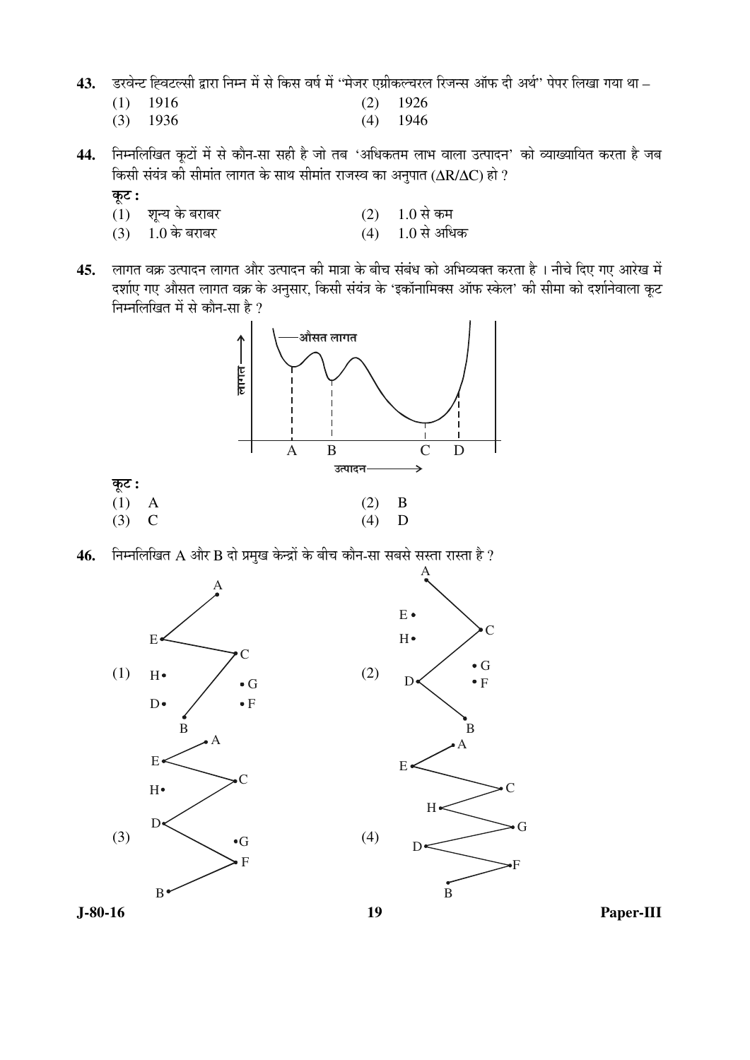- 43. Sरवेन्ट ह्विटल्सी द्वारा निम्न में से किस वर्ष में "मेजर एग्रीकल्चरल रिजन्स ऑफ दी अर्थ" पेपर लिखा गया था –
- (1) 1916 (2) 1926 (3) 1936 (4) 1946
- 44. निम्नलिखित कूटों में से कौन-सा सही है जो तब 'अधिकतम लाभ वाला उत्पादन' को व्याख्यायित करता है जब তিূसी संयंत्र की सीमांत लागत के साथ सीमांत राजस्व का अनुपात (ΔR/ΔC) हो ?
	- कूट :
	- $(1)$  शुन्य के बराबर (2)  $1.0$  से कम
	- $(3)$  1.0 के बराबर  $(4)$  1.0 से अधिक
- 45. लागत वक्र उत्पादन लागत और उत्पादन की मात्रा के बीच संबंध को अभिव्यक्त करता है । नीचे दिए गए आरेख में दर्शाए गए औसत लागत वक्र के अनुसार, किसी संयंत्र के 'इकॉनामिक्स ऑफ स्केल' की सीमा को दर्शानेवाला कूट निम्नलिखित में से कौन-सा है ?



46. Fiम्नलिखित A और B दो प्रमुख केन्द्रों के बीच कौन-सा सबसे सस्ता रास्ता है ?

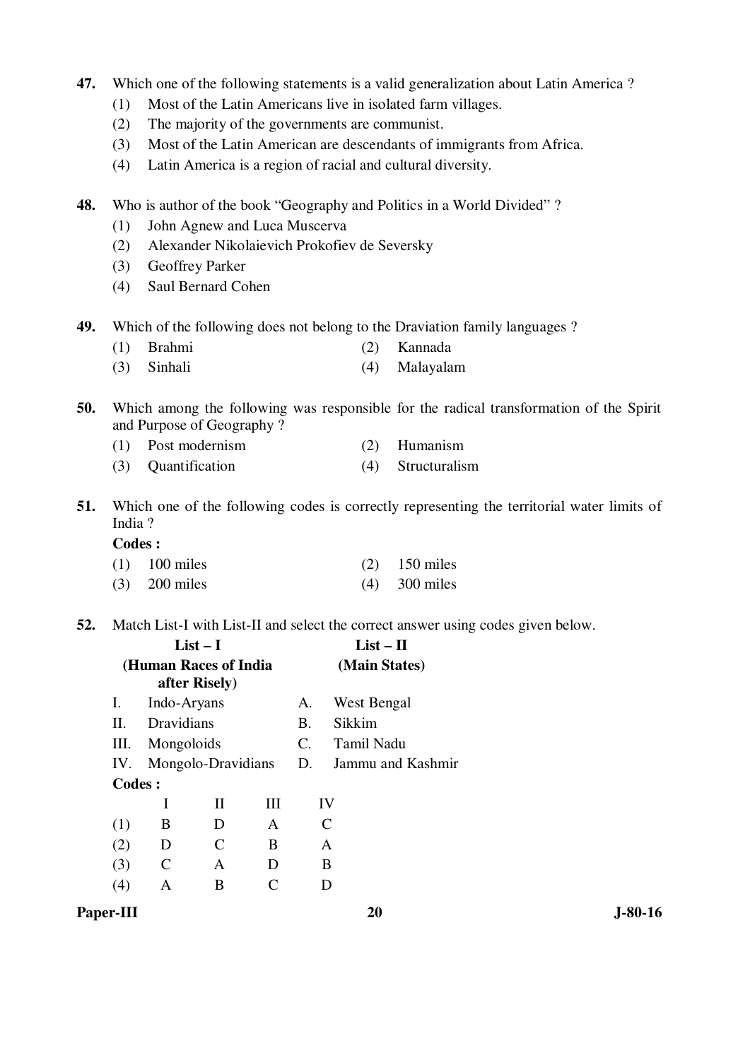- **47.** Which one of the following statements is a valid generalization about Latin America ?
	- (1) Most of the Latin Americans live in isolated farm villages.
	- (2) The majority of the governments are communist.
	- (3) Most of the Latin American are descendants of immigrants from Africa.
	- (4) Latin America is a region of racial and cultural diversity.
- **48.** Who is author of the book "Geography and Politics in a World Divided" ?
	- (1) John Agnew and Luca Muscerva
	- (2) Alexander Nikolaievich Prokofiev de Seversky
	- (3) Geoffrey Parker
	- (4) Saul Bernard Cohen
- **49.** Which of the following does not belong to the Draviation family languages ?
	- (1) Brahmi (2) Kannada
	- (3) Sinhali (4) Malayalam
- **50.** Which among the following was responsible for the radical transformation of the Spirit and Purpose of Geography ?
	- (1) Post modernism (2) Humanism
	- (3) Quantification (4) Structuralism
- **51.** Which one of the following codes is correctly representing the territorial water limits of India ?

#### **Codes :**

| $(1)$ 100 miles | $(2)$ 150 miles |
|-----------------|-----------------|
| $(3)$ 200 miles | $(4)$ 300 miles |

**52.** Match List-I with List-II and select the correct answer using codes given below.

|               |   |                                                                      |                                             | $List - II$       |
|---------------|---|----------------------------------------------------------------------|---------------------------------------------|-------------------|
|               |   |                                                                      |                                             | (Main States)     |
|               |   |                                                                      | А.                                          | West Bengal       |
|               |   |                                                                      | B.                                          | Sikkim            |
|               |   |                                                                      | $C_{\cdot}$                                 | Tamil Nadu        |
|               |   |                                                                      | D.                                          | Jammu and Kashmir |
| <b>Codes:</b> |   |                                                                      |                                             |                   |
| I             | Н | HН                                                                   |                                             | IV                |
| B             | D | A                                                                    |                                             |                   |
| D             |   | B                                                                    |                                             | A                 |
| C             | A | D                                                                    |                                             | B                 |
| А             | В |                                                                      |                                             |                   |
|               |   | $List-I$<br>after Risely)<br>Indo-Aryans<br>Dravidians<br>Mongoloids | (Human Races of India<br>Mongolo-Dravidians |                   |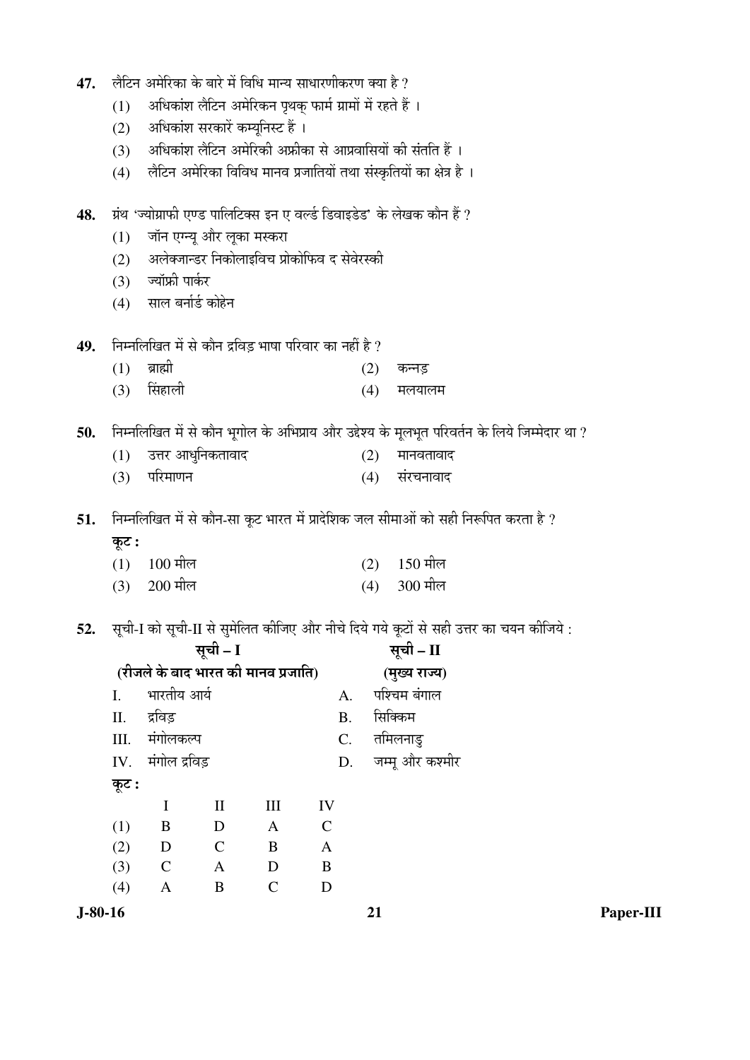| 47.       |       | लैटिन अमेरिका के बारे में विधि मान्य साधारणीकरण क्या है ?   |               |                                  |                                                          |     |                                                                                               |           |
|-----------|-------|-------------------------------------------------------------|---------------|----------------------------------|----------------------------------------------------------|-----|-----------------------------------------------------------------------------------------------|-----------|
|           | (1)   |                                                             |               |                                  | अधिकांश लैटिन अमेरिकन पृथक् फार्म ग्रामों में रहते हैं । |     |                                                                                               |           |
|           | (2)   |                                                             |               | अधिकांश सरकारें कम्यूनिस्ट हैं । |                                                          |     |                                                                                               |           |
|           | (3)   | अधिकांश लैटिन अमेरिकी अफ्रीका से आप्रवासियों की संतति हैं । |               |                                  |                                                          |     |                                                                                               |           |
|           | (4)   |                                                             |               |                                  |                                                          |     | लैटिन अमेरिका विविध मानव प्रजातियों तथा संस्कृतियों का क्षेत्र है।                            |           |
| 48.       |       |                                                             |               |                                  |                                                          |     | ग्रंथ 'ज्योग्राफी एण्ड पालिटिक्स इन ए वर्ल्ड डिवाइडेड' के लेखक कौन हैं ?                      |           |
|           | (1)   | जॉन एग्न्यू और लूका मस्करा                                  |               |                                  |                                                          |     |                                                                                               |           |
|           | (2)   |                                                             |               |                                  | अलेक्जान्डर निकोलाइविच प्रोकोफिव द सेवेरस्की             |     |                                                                                               |           |
|           | (3)   | ज्यॉफ्री पार्कर                                             |               |                                  |                                                          |     |                                                                                               |           |
|           | (4)   | साल बर्नार्ड कोहेन                                          |               |                                  |                                                          |     |                                                                                               |           |
| 49.       |       | निम्नलिखित में से कौन द्रविड़ भाषा परिवार का नहीं है ?      |               |                                  |                                                          |     |                                                                                               |           |
|           | (1)   | ब्राह्मी                                                    |               |                                  |                                                          | (2) | कन्नड़                                                                                        |           |
|           | (3)   | सिंहाली                                                     |               |                                  |                                                          | (4) | मलयालम                                                                                        |           |
| 50.       |       |                                                             |               |                                  |                                                          |     | निम्नलिखित में से कौन भूगोल के अभिप्राय और उद्देश्य के मूलभूत परिवर्तन के लिये जिम्मेदार था ? |           |
|           | (1)   | उत्तर आधुनिकतावाद                                           |               |                                  |                                                          | (2) | मानवतावाद                                                                                     |           |
|           | (3)   | परिमाणन                                                     |               |                                  |                                                          | (4) | संरचनावाद                                                                                     |           |
| 51.       |       |                                                             |               |                                  |                                                          |     | निम्नलिखित में से कौन-सा कूट भारत में प्रादेशिक जल सीमाओं को सही निरूपित करता है ?            |           |
|           | कूट : |                                                             |               |                                  |                                                          |     |                                                                                               |           |
|           | (1)   | $100$ मील                                                   |               |                                  |                                                          | (2) | $150$ मील                                                                                     |           |
|           | (3)   | $200$ मील                                                   |               |                                  |                                                          | (4) | 300 मील                                                                                       |           |
|           |       |                                                             |               |                                  |                                                          |     |                                                                                               |           |
| 52.       |       |                                                             |               |                                  |                                                          |     | सूची-I को सूची-II से सुमेलित कीजिए और नीचे दिये गये कूटों से सही उत्तर का चयन कीजिये :        |           |
|           |       |                                                             | सूची - I      |                                  |                                                          |     | सूची – II                                                                                     |           |
|           |       | (रीजले के बाद भारत की मानव प्रजाति)                         |               |                                  |                                                          |     | (मुख्य राज्य)                                                                                 |           |
|           | I.    | भारतीय आर्य                                                 |               |                                  | A.                                                       |     | पश्चिम बंगाल                                                                                  |           |
|           | II.   | द्रविड़                                                     |               |                                  | <b>B.</b>                                                |     | सिक्किम                                                                                       |           |
|           | III.  | मंगोलकल्प                                                   |               |                                  | C.                                                       |     | तमिलनाडु                                                                                      |           |
|           | IV.   | मंगोल द्रविड़                                               |               |                                  | D.                                                       |     | जम्मू और कश्मीर                                                                               |           |
|           | कूट : |                                                             |               |                                  |                                                          |     |                                                                                               |           |
|           |       | $\mathbf I$                                                 | $\mathbf{I}$  | III                              | IV                                                       |     |                                                                                               |           |
|           | (1)   | B                                                           | $\mathbf D$   | $\mathbf{A}$                     | $\mathcal{C}$                                            |     |                                                                                               |           |
|           | (2)   | D                                                           | $\mathcal{C}$ | $\bf{B}$                         | A                                                        |     |                                                                                               |           |
|           | (3)   | $\mathbf C$                                                 | $\mathbf{A}$  | $\mathbf D$                      | $\bf{B}$                                                 |     |                                                                                               |           |
|           | (4)   | A                                                           | $\bf{B}$      | $\mathsf{C}$                     | D                                                        |     |                                                                                               |           |
| $J-80-16$ |       |                                                             |               |                                  |                                                          | 21  |                                                                                               | Paper-III |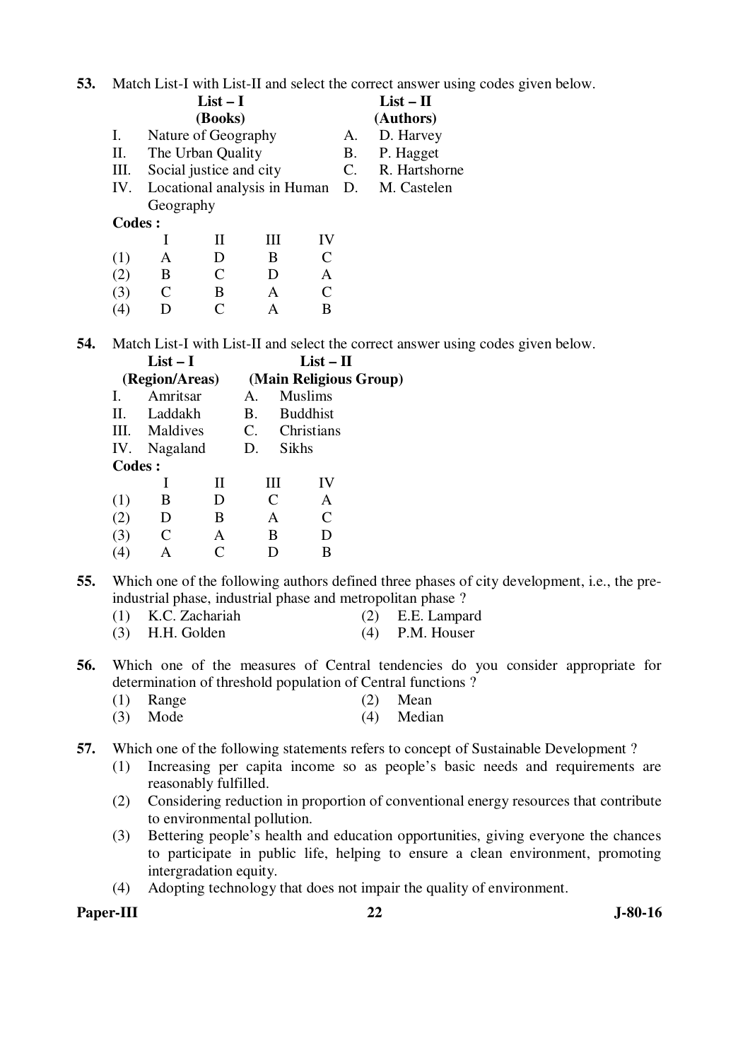**53.** Match List-I with List-II and select the correct answer using codes given below.

|         |           | $List-I$                |   |    |    | $List - II$                                     |
|---------|-----------|-------------------------|---|----|----|-------------------------------------------------|
|         |           | (Books)                 |   |    |    | (Authors)                                       |
| Ι.      |           | Nature of Geography     |   |    | А. | D. Harvey                                       |
| П.      |           | The Urban Quality       |   |    | В. | P. Hagget                                       |
| Ш.      |           | Social justice and city |   |    | C. | R. Hartshorne                                   |
|         |           |                         |   |    |    | IV. Locational analysis in Human D. M. Castelen |
|         | Geography |                         |   |    |    |                                                 |
| Codes : |           |                         |   |    |    |                                                 |
|         |           |                         | Ш | IV |    |                                                 |
| (1)     | A         | $\mathbf{D}$            | B | C  |    |                                                 |
|         | В         |                         |   | А  |    |                                                 |

**54.** Match List-I with List-II and select the correct answer using codes given below.

|         | $List-I$       |   | $List - II$  |                             |                        |  |  |  |
|---------|----------------|---|--------------|-----------------------------|------------------------|--|--|--|
|         | (Region/Areas) |   |              |                             | (Main Religious Group) |  |  |  |
| L       | Amritsar       |   | $\mathbf{A}$ |                             | <b>Muslims</b>         |  |  |  |
| Н.      | Laddakh        |   | B.           |                             | <b>Buddhist</b>        |  |  |  |
|         | III. Maldives  |   |              |                             | C. Christians          |  |  |  |
|         | IV. Nagaland   |   | D.           | Sikhs                       |                        |  |  |  |
| Codes : |                |   |              |                             |                        |  |  |  |
|         |                | Н |              | Ш                           | IV                     |  |  |  |
| (1)     | В              | D |              | $\mathcal{C}_{\mathcal{C}}$ | A                      |  |  |  |
| 2)      | D              | B |              | A                           | $\mathsf{C}$           |  |  |  |
| 3)      | C              | A |              | В                           |                        |  |  |  |
|         |                |   |              |                             | В                      |  |  |  |

 (3) C B A C (4) D C A B

**55.** Which one of the following authors defined three phases of city development, i.e., the preindustrial phase, industrial phase and metropolitan phase ?

- (1) K.C. Zachariah (2) E.E. Lampard
- (3) H.H. Golden (4) P.M. Houser
- **56.** Which one of the measures of Central tendencies do you consider appropriate for determination of threshold population of Central functions ?
- (1) Range (2) Mean (3) Mode (4) Median
	-
- **57.** Which one of the following statements refers to concept of Sustainable Development ?
	- (1) Increasing per capita income so as people's basic needs and requirements are reasonably fulfilled.
	- (2) Considering reduction in proportion of conventional energy resources that contribute to environmental pollution.
	- (3) Bettering people's health and education opportunities, giving everyone the chances to participate in public life, helping to ensure a clean environment, promoting intergradation equity.
	- (4) Adopting technology that does not impair the quality of environment.

Paper-III 322 J-80-16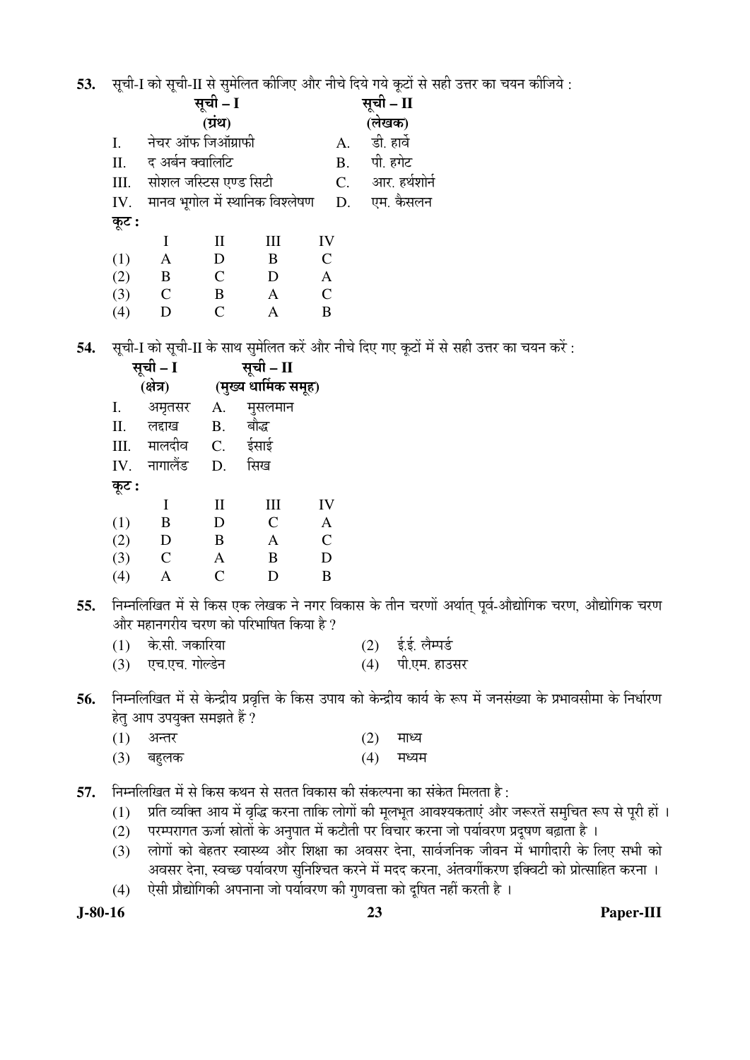53. सची-I को सची-II से समेलित कीजिए और नीचे दिये गये कटों से सही उत्तर का चयन कीजिये :

|       |             | सूची – I                        |              |                | सूची – II     |
|-------|-------------|---------------------------------|--------------|----------------|---------------|
|       |             | (ग्रंथ)                         |              |                | (लेखक)        |
| I.    |             | नेचर ऑफ जिऑग्राफी               |              | A.             | डी. हार्वे    |
| II.   |             | द अर्बन क्वालिटि                |              | <b>B.</b>      | पी. हगेट      |
| III.  |             | सोशल जस्टिस एण्ड सिटी           |              | $C_{\cdot}$    | आर. हर्थशोर्न |
| IV.   |             | मानव भूगोल में स्थानिक विश्लेषण |              | D.             | एम. कैसलन     |
| कूट : |             |                                 |              |                |               |
|       | T           | $\mathbf{I}$                    | Ш            | IV             |               |
| (1)   | A           | D                               | B            | $\mathcal{C}$  |               |
| (2)   | B           | $\mathsf{C}$                    | D            | $\overline{A}$ |               |
| (3)   | $\mathbf C$ | B                               | $\mathbf{A}$ | $\mathcal{C}$  |               |
| (4)   | D           | $\mathsf{C}$                    | Α            | B              |               |
|       |             |                                 |              |                |               |

54. सूची-I को सूची-II के साथ सुमेलित करें और नीचे दिए गए कूटों में से सही उत्तर का चयन करें:

|       | सूची – I      | सूची – II            |               |                |  |  |  |  |
|-------|---------------|----------------------|---------------|----------------|--|--|--|--|
|       | (क्षेत्र)     | (मुख्य धार्मिक समूह) |               |                |  |  |  |  |
| I.    | अमृतसर        | A.                   | मुसलमान       |                |  |  |  |  |
| Π.    | लद्दाख        | <b>B.</b>            | बौद्ध         |                |  |  |  |  |
| III.  | मालदीव        | C.                   | ईसाई          |                |  |  |  |  |
| IV.   | नागालैंड      | D.                   | सिख           |                |  |  |  |  |
| कूट : |               |                      |               |                |  |  |  |  |
|       | Ι             | $\mathbf{I}$         | III           | IV             |  |  |  |  |
| (1)   | B             | D                    | $\mathcal{C}$ | A              |  |  |  |  |
| (2)   | D             | B                    | $\mathbf{A}$  | $\overline{C}$ |  |  |  |  |
| (3)   | $\mathcal{C}$ | A                    | B             | D              |  |  |  |  |
| (4)   | A             | $\overline{C}$       | D             | B              |  |  |  |  |
|       |               |                      |               |                |  |  |  |  |

- निम्नलिखित में से किस एक लेखक ने नगर विकास के तीन चरणों अर्थात् पूर्व-औद्योगिक चरण, औद्योगिक चरण 55. और महानगरीय चरण को परिभाषित किया है ?
	- के.सी. जकारिया  $(2)$  ई.ई. लैम्पर्ड  $(1)$
	- (3) एच.एच. गोल्डेन (4) पी.एम. हाउसर
- निम्नलिखित में से केन्द्रीय प्रवृत्ति के किस उपाय को केन्द्रीय कार्य के रूप में जनसंख्या के प्रभावसीमा के निर्धारण 56. हेत् आप उपयुक्त समझते हैं ?
	- $(1)$ अन्तर  $(2)$ माध्य
	- $(3)$ बहुलक  $(4)$ मध्यम
- निम्नलिखित में से किस कथन से सतत विकास की संकल्पना का संकेत मिलता है : 57.
	- प्रति व्यक्ति आय में वृद्धि करना ताकि लोगों की मूलभूत आवश्यकताएं और जरूरतें समुचित रूप से पूरी हों ।  $(1)$
	- परम्परागत ऊर्जा स्रोतों के अनुपात में कटौती पर विचार करना जो पर्यावरण प्रदुषण बढ़ाता है ।  $(2)$
	- लोगों को बेहतर स्वास्थ्य और शिक्षा का अवसर देना, सार्वजनिक जीवन में भागीदारी के लिए सभी को  $(3)$ अवसर देना, स्वच्छ पर्यावरण सुनिश्चित करने में मदद करना, अंतवर्गीकरण इक्विटी को प्रोत्साहित करना ।
	- ऐसी प्रौद्योगिकी अपनाना जो पर्यावरण की गुणवत्ता को दुषित नहीं करती है ।  $(4)$

 $J-80-16$ 

### Paper-III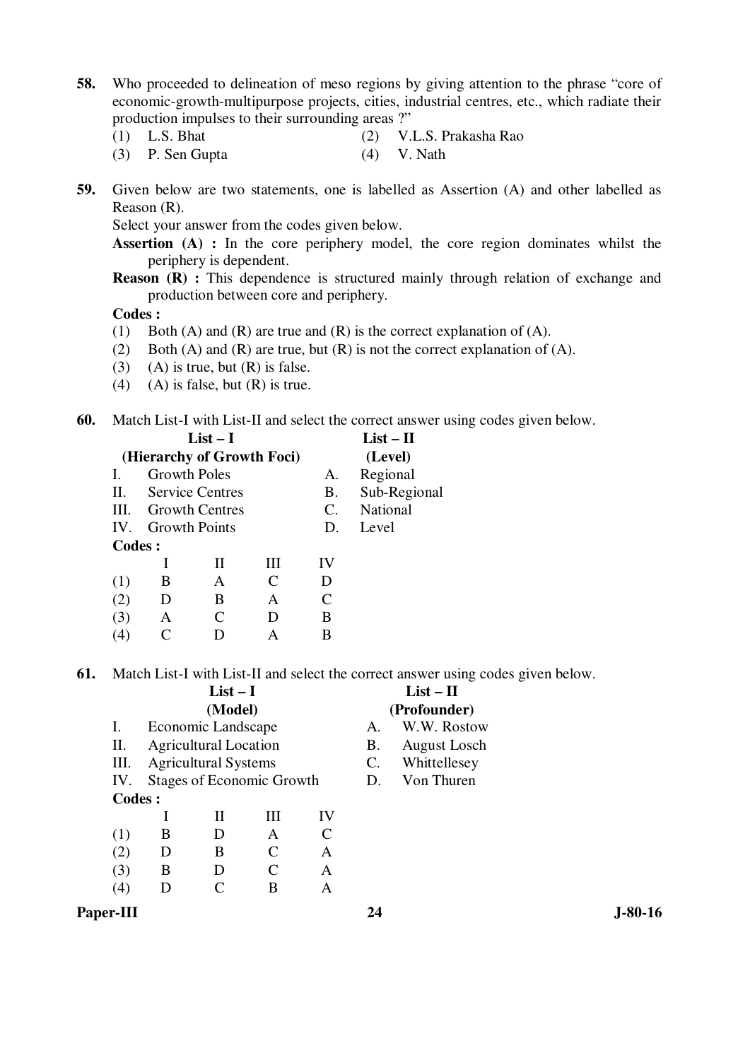- **58.** Who proceeded to delineation of meso regions by giving attention to the phrase "core of economic-growth-multipurpose projects, cities, industrial centres, etc., which radiate their production impulses to their surrounding areas ?"
	-
	- (1) L.S. Bhat (2) V.L.S. Prakasha Rao
	- (3) P. Sen Gupta (4) V. Nath
- **59.** Given below are two statements, one is labelled as Assertion (A) and other labelled as Reason (R).

Select your answer from the codes given below.

**Assertion** (A) : In the core periphery model, the core region dominates whilst the periphery is dependent.

**Reason (R)**: This dependence is structured mainly through relation of exchange and production between core and periphery.

 **Codes :** 

- (1) Both (A) and (R) are true and (R) is the correct explanation of (A).
- (2) Both (A) and (R) are true, but (R) is not the correct explanation of (A).
- (3) (A) is true, but  $(R)$  is false.
- (4) (A) is false, but  $(R)$  is true.

**60.** Match List-I with List-II and select the correct answer using codes given below.

|         | $List-I$            |                            | $List - II$ |                 |              |
|---------|---------------------|----------------------------|-------------|-----------------|--------------|
|         |                     | (Hierarchy of Growth Foci) |             | (Level)         |              |
| L       | <b>Growth Poles</b> |                            |             | A.              | Regional     |
| Н.      |                     | <b>Service Centres</b>     |             | <b>B.</b>       | Sub-Regional |
| HI.     |                     | <b>Growth Centres</b>      |             | $\mathcal{C}$ . | National     |
|         | IV. Growth Points   |                            |             | D.              | Level        |
| Codes : |                     |                            |             |                 |              |
|         |                     | Н                          | Ш           | IV              |              |
| (1)     | B                   | A                          | C           | D               |              |
| (2)     | D                   | B                          | A           | C               |              |
| (3)     | A                   | C                          | I)          | B               |              |
|         |                     |                            |             | в               |              |
|         |                     |                            |             |                 |              |

**61.** Match List-I with List-II and select the correct answer using codes given below.

|         |   | $List-I$                     |                                  | $List - II$  |           |                     |  |
|---------|---|------------------------------|----------------------------------|--------------|-----------|---------------------|--|
|         |   | (Model)                      |                                  | (Profounder) |           |                     |  |
| Ι.      |   | Economic Landscape           |                                  |              | A.        | W.W. Rostow         |  |
| П.      |   | <b>Agricultural Location</b> |                                  |              | <b>B.</b> | <b>August Losch</b> |  |
| Ш.      |   | <b>Agricultural Systems</b>  |                                  |              | C.        | Whittellesey        |  |
| IV.     |   |                              | <b>Stages of Economic Growth</b> |              | D.        | Von Thuren          |  |
| Codes : |   |                              |                                  |              |           |                     |  |
|         |   | Н                            | Ш                                | IV           |           |                     |  |
| (1)     | B | D                            | A                                |              |           |                     |  |
| (2)     | D | B                            | C                                | A            |           |                     |  |
| (3)     | B | D                            | C                                | A            |           |                     |  |
| (4)     |   |                              | B                                | A            |           |                     |  |
|         |   |                              |                                  |              |           |                     |  |

Paper-III 3-80-16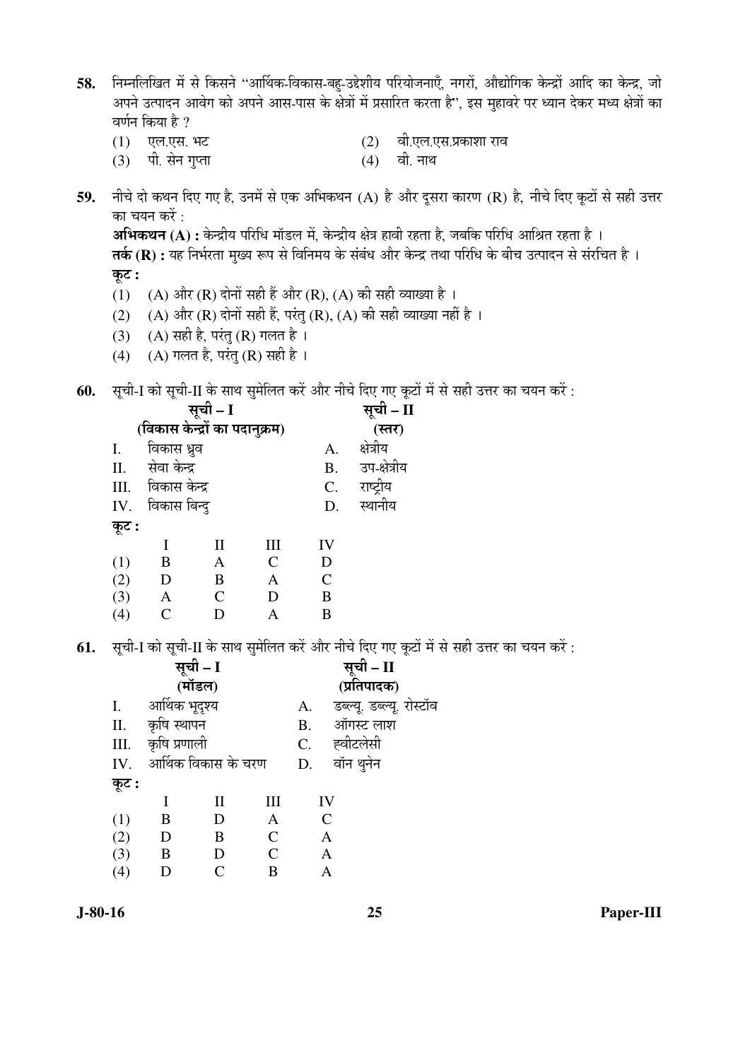- निम्नलिखित में से किसने ''आर्थिक-विकास-बह-उद्देशीय परियोजनाएँ, नगरों, औद्योगिक केन्द्रों आदि का केन्द्र, जो 58. अपने उत्पादन आवेग को अपने आस-पास के क्षेत्रों में प्रसारित करता है", इस मुहावरे पर ध्यान देकर मध्य क्षेत्रों का वर्णन किया है  $\gamma$ 
	- (1) एल.एस. भट

(2) वी.एल.एस.प्रकाशा राव

 $(3)$  पी. सेन गुप्ता

वी. नाथ  $(4)$ 

 $\mathbf{H}$ 

नीचे दो कथन दिए गए है, उनमें से एक अभिकथन (A) है और दूसरा कारण (R) है, नीचे दिए कूटों से सही उत्तर 59. का चयन करें :

अभिकथन (A) : केन्द्रीय परिधि मॉडल में, केन्द्रीय क्षेत्र हावी रहता है, जबकि परिधि आश्रित रहता है । तर्क (R) : यह निर्भरता मुख्य रूप से विनिमय के संबंध और केन्द्र तथा परिधि के बीच उत्पादन से संरचित है । कुट :

- (1) (A) और (R) दोनों सही हैं और (R), (A) की सही व्याख्या है ।
- (2) (A) और (R) दोनों सही हैं, परंतु (R), (A) की सही व्याख्या नहीं है ।
- (3) (A) सही है, परंतु (R) गलत है।
- (4) (A) गलत है, परंतु (R) सही है।
- 60. सृची-I को सृची-II के साथ सुमेलित करें और नीचे दिए गए कुटों में से सही उत्तर का चयन करें :

| ິ     | ີ                              | सूची – I      |                |               | ິ            |
|-------|--------------------------------|---------------|----------------|---------------|--------------|
|       |                                |               | सूची - I       |               |              |
|       | (विकास केन्द्रों का पदानुक्रम) |               |                | (स्तर)        |              |
| Ι.    | विकास ध्रुव                    |               |                | А.            | क्षेत्रीय    |
| II.   | सेवा केन्द्र                   |               |                | <b>B.</b>     | उप-क्षेत्रीय |
| III.  | विकास केन्द्र                  |               |                | C.            | राष्ट्रीय    |
| IV.   | विकास बिन्दु                   |               |                | D.            | स्थानीय      |
| कूट : |                                |               |                |               |              |
|       | I                              | $\rm II$      | Ш              | IV            |              |
| (1)   | B                              | A             | $\overline{C}$ | D             |              |
| (2)   | D                              | B             | A              | $\mathcal{C}$ |              |
| (3)   | A                              | $\mathcal{C}$ | D              | B             |              |
| (4)   | $\mathcal{C}$                  | D             |                | B             |              |

61. सूची-I को सूची-II के साथ सुमेलित करें और नीचे दिए गए कूटों में से सही उत्तर का चयन करें :

|       |                 | सूची – I<br>(मॉडल)  |                |           | सूची – II<br>(प्रतिपादक)  |
|-------|-----------------|---------------------|----------------|-----------|---------------------------|
|       |                 |                     |                |           |                           |
| I.    | आर्थिक भूदृश्य  |                     |                | A.        | डब्ल्यू. डब्ल्यू. रोस्टॉव |
|       | II. कृषि स्थापन |                     |                | <b>B.</b> | ऑगस्ट लाश                 |
| III.  | कृषि प्रणाली    |                     |                | C.        | ह्वीटलेसी                 |
| IV.   |                 | आर्थिक विकास के चरण |                | D.        | वॉन थुनेन                 |
| कूट : |                 |                     |                |           |                           |
|       |                 | П                   | Ш              |           | IV                        |
| (1)   | B               | D                   | A              |           | $\mathsf{C}$              |
| (2)   | D               | B                   | $\mathsf{C}$   |           | A                         |
| (3)   | B               | D                   | $\overline{C}$ |           | Α                         |
| (4)   | D               | C                   | B              |           |                           |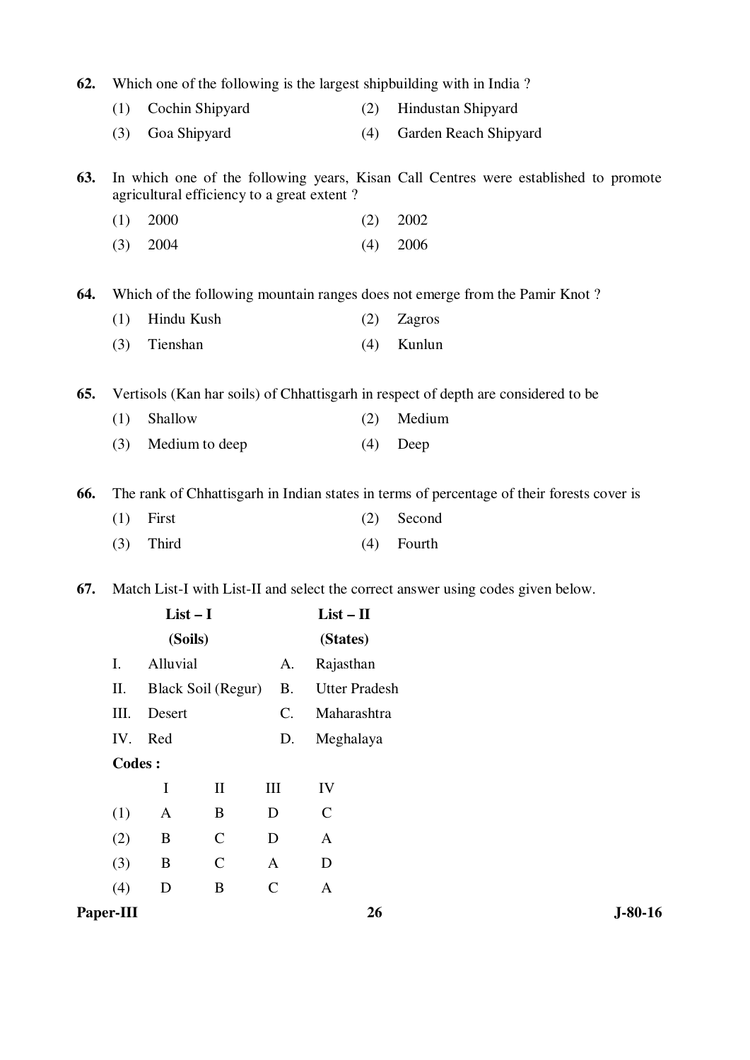| 62. |           |                                            |              |               |                      | Which one of the following is the largest shipbuilding with in India?                      |           |
|-----|-----------|--------------------------------------------|--------------|---------------|----------------------|--------------------------------------------------------------------------------------------|-----------|
|     | (1)       | Cochin Shipyard                            |              |               | (2)                  | Hindustan Shipyard                                                                         |           |
|     | (3)       | Goa Shipyard                               |              |               | (4)                  | Garden Reach Shipyard                                                                      |           |
| 63. |           | agricultural efficiency to a great extent? |              |               |                      | In which one of the following years, Kisan Call Centres were established to promote        |           |
|     | (1)       | 2000                                       |              |               | (2)                  | 2002                                                                                       |           |
|     | (3)       | 2004                                       |              |               | (4)                  | 2006                                                                                       |           |
| 64. |           |                                            |              |               |                      | Which of the following mountain ranges does not emerge from the Pamir Knot?                |           |
|     | (1)       | Hindu Kush                                 |              |               | (2)                  | Zagros                                                                                     |           |
|     | (3)       | Tienshan                                   |              |               | (4)                  | Kunlun                                                                                     |           |
| 65. |           |                                            |              |               |                      | Vertisols (Kan har soils) of Chhattisgarh in respect of depth are considered to be         |           |
|     | (1)       | Shallow                                    |              |               | (2)                  | Medium                                                                                     |           |
|     | (3)       | Medium to deep                             |              |               | (4)                  | Deep                                                                                       |           |
| 66. |           |                                            |              |               |                      | The rank of Chhattisgarh in Indian states in terms of percentage of their forests cover is |           |
|     | (1)       | First                                      |              |               | (2)                  | Second                                                                                     |           |
|     | (3)       | Third                                      |              |               | (4)                  | Fourth                                                                                     |           |
| 67. |           |                                            |              |               |                      | Match List-I with List-II and select the correct answer using codes given below.           |           |
|     |           | $List-I$                                   |              |               | $List - II$          |                                                                                            |           |
|     |           | (Soils)                                    |              |               | (States)             |                                                                                            |           |
|     | I.        | Alluvial                                   |              | A.            | Rajasthan            |                                                                                            |           |
|     | Π.        | <b>Black Soil (Regur)</b>                  |              | <b>B.</b>     | <b>Utter Pradesh</b> |                                                                                            |           |
|     | III.      | Desert                                     |              | C.            | Maharashtra          |                                                                                            |           |
|     | IV.       | Red                                        |              | D.            | Meghalaya            |                                                                                            |           |
|     | Codes:    |                                            |              |               |                      |                                                                                            |           |
|     |           | $\mathbf I$                                | $\mathbf{I}$ | $\rm III$     | IV                   |                                                                                            |           |
|     | (1)       | $\mathbf{A}$                               | $\bf{B}$     | D             | $\mathbf C$          |                                                                                            |           |
|     | (2)       | $\, {\bf B}$                               | $\mathbf C$  | D             | $\mathbf{A}$         |                                                                                            |           |
|     | (3)       | $\, {\bf B}$                               | $\mathsf{C}$ | $\mathbf{A}$  | $\mathbf D$          |                                                                                            |           |
|     | (4)       | $\mathbf D$                                | $\, {\bf B}$ | $\mathcal{C}$ | $\mathbf{A}$         |                                                                                            |           |
|     | Paper-III |                                            |              |               | 26                   |                                                                                            | $J-80-16$ |
|     |           |                                            |              |               |                      |                                                                                            |           |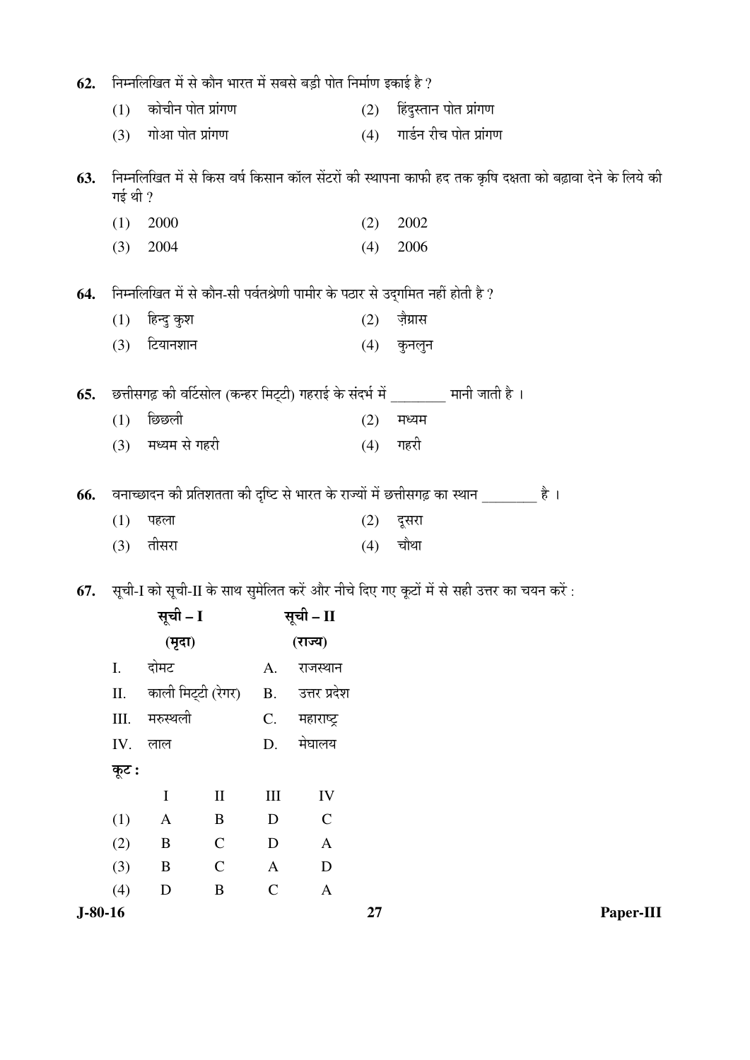| 62.       |         | निम्नलिखित में से कौन भारत में सबसे बड़ी पोत निर्माण इकाई है ? |                                 |              |               |     |                                                                                                          |
|-----------|---------|----------------------------------------------------------------|---------------------------------|--------------|---------------|-----|----------------------------------------------------------------------------------------------------------|
|           | (1)     | कोचीन पोत प्रांगण                                              |                                 |              |               | (2) | हिंदुस्तान पोत प्रांगण                                                                                   |
|           | (3)     | गोआ पोत प्रांगण                                                |                                 |              |               |     | (4) गार्डन रीच पोत प्रांगण                                                                               |
| 63.       | गई थी ? |                                                                |                                 |              |               |     | निम्नलिखित में से किस वर्ष किसान कॉल सेंटरों की स्थापना काफी हद तक कृषि दक्षता को बढ़ावा देने के लिये की |
|           | (1)     | 2000                                                           |                                 |              |               | (2) | 2002                                                                                                     |
|           | (3)     | 2004                                                           |                                 |              |               | (4) | 2006                                                                                                     |
| 64.       |         |                                                                |                                 |              |               |     | निम्नलिखित में से कौन-सी पर्वतश्रेणी पामीर के पठार से उद्गमित नहीं होती है ?                             |
|           | (1)     | हिन्दु कुश                                                     |                                 |              |               | (2) | ज़ैग्रास                                                                                                 |
|           | (3)     | टियानशान                                                       |                                 |              |               | (4) | कुनलुन                                                                                                   |
| 65.       |         |                                                                |                                 |              |               |     | छत्तीसगढ़ की वर्टिसोल (कन्हर मिट्टी) गहराई के संदर्भ में ________ मानी जाती है ।                         |
|           | (1)     | छिछली                                                          |                                 |              |               | (2) | मध्यम                                                                                                    |
|           |         | (3) मध्यम से गहरी                                              |                                 |              |               | (4) | गहरी                                                                                                     |
| 66.       |         |                                                                |                                 |              |               |     | वनाच्छादन की प्रतिशतता की दृष्टि से भारत के राज्यों में छत्तीसगढ़ का स्थान ________ है ।                 |
|           | (1)     | पहला                                                           |                                 |              |               | (2) | दूसरा                                                                                                    |
|           | (3)     | तीसरा                                                          |                                 |              |               | (4) | चौथा                                                                                                     |
|           |         |                                                                |                                 |              |               |     |                                                                                                          |
| 67.       |         |                                                                |                                 |              |               |     | सूची-I को सूची-II के साथ सुमेलित करें और नीचे दिए गए कूटों में से सही उत्तर का चयन करें :                |
|           |         | सूची – I                                                       |                                 |              | सूची – II     |     |                                                                                                          |
|           |         | (मृदा)                                                         |                                 |              | (राज्य)       |     |                                                                                                          |
|           | I.      | दोमट                                                           |                                 | A.           | राजस्थान      |     |                                                                                                          |
|           | Π.      | काली मिट्टी (रेगर)                                             |                                 | <b>B.</b>    | उत्तर प्रदेश  |     |                                                                                                          |
|           | III.    | मरुस्थली                                                       |                                 | C.           | महाराष्ट्र    |     |                                                                                                          |
|           | IV.     | लाल                                                            |                                 | D.           | मेघालय        |     |                                                                                                          |
|           | कूट :   |                                                                |                                 |              |               |     |                                                                                                          |
|           |         | $\mathbf I$                                                    | $\mathop{\mathrm{II}}\nolimits$ | $\rm III$    | IV            |     |                                                                                                          |
|           | (1)     | $\mathbf{A}$                                                   | B                               | $\mathbf D$  | $\mathcal{C}$ |     |                                                                                                          |
|           | (2)     | $\bf{B}$                                                       | $\mathbf C$                     | $\mathbf D$  | $\mathbf{A}$  |     |                                                                                                          |
|           | (3)     | $\bf{B}$                                                       | $\mathcal{C}$                   | $\mathbf{A}$ | $\mathbf D$   |     |                                                                                                          |
|           | (4)     | $\mathbf D$                                                    | $\, {\bf B}$                    | $\mathbf C$  | $\mathbf{A}$  |     |                                                                                                          |
| $J-80-16$ |         |                                                                |                                 |              |               | 27  | Paper-III                                                                                                |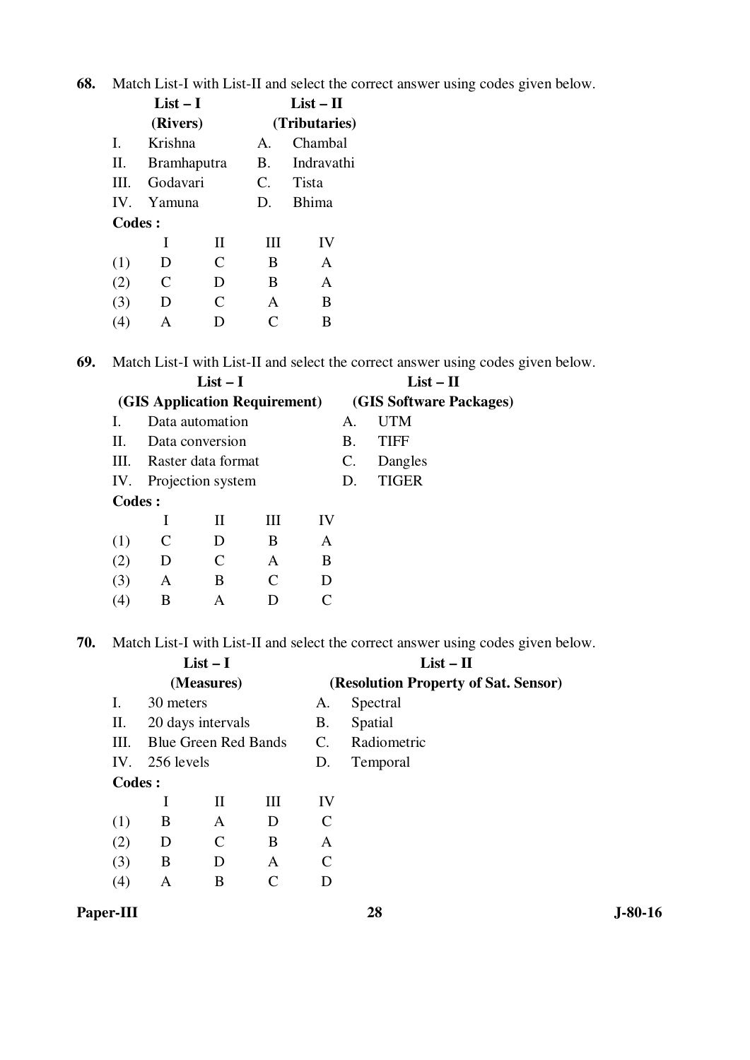**68.** Match List-I with List-II and select the correct answer using codes given below.

|          | $List-I$           |   | List $-$ H    |              |  |  |
|----------|--------------------|---|---------------|--------------|--|--|
|          | (Rivers)           |   | (Tributaries) |              |  |  |
| Ι.       | Krishna            |   | $\mathbf{A}$  | Chambal      |  |  |
| Π.       | <b>Bramhaputra</b> |   | <b>B.</b>     | Indravathi   |  |  |
| III.     | Godavari           |   | C.            | Tista        |  |  |
| $IV_{-}$ | Yamuna             |   | D.            | <b>Bhima</b> |  |  |
| Codes:   |                    |   |               |              |  |  |
|          | T                  | H | Ш             | IV           |  |  |
| (1)      | D                  | C | B             | A            |  |  |
| (2)      | C                  | D | B             | A            |  |  |
| (3)      | D                  | C | A             | B            |  |  |
| 4)       |                    |   | C             | B            |  |  |

**69.** Match List-I with List-II and select the correct answer using codes given below.

|               |   | $List-I$                      |                             | $List - II$             |    |              |
|---------------|---|-------------------------------|-----------------------------|-------------------------|----|--------------|
|               |   | (GIS Application Requirement) |                             | (GIS Software Packages) |    |              |
| L.            |   | Data automation               |                             |                         | А. | <b>UTM</b>   |
| Н.            |   | Data conversion               |                             |                         | B. | <b>TIFF</b>  |
| III.          |   | Raster data format            |                             |                         | C. | Dangles      |
| IV.           |   | Projection system             |                             |                         | D. | <b>TIGER</b> |
| <b>Codes:</b> |   |                               |                             |                         |    |              |
|               | I | H                             | Ш                           | IV                      |    |              |
| (1)           |   | D                             | B                           | A                       |    |              |
| (2)           | D | C                             | A                           | B                       |    |              |
| (3)           | A | B                             | $\mathcal{C}_{\mathcal{C}}$ | D                       |    |              |
| (4)           | В | A                             |                             |                         |    |              |

**70.** Match List-I with List-II and select the correct answer using codes given below.

| (Resolution Property of Sat. Sensor) |
|--------------------------------------|
|                                      |
| Spectral                             |
| Spatial                              |
| Radiometric                          |
| Temporal                             |
|                                      |
|                                      |
|                                      |
|                                      |
|                                      |
|                                      |
|                                      |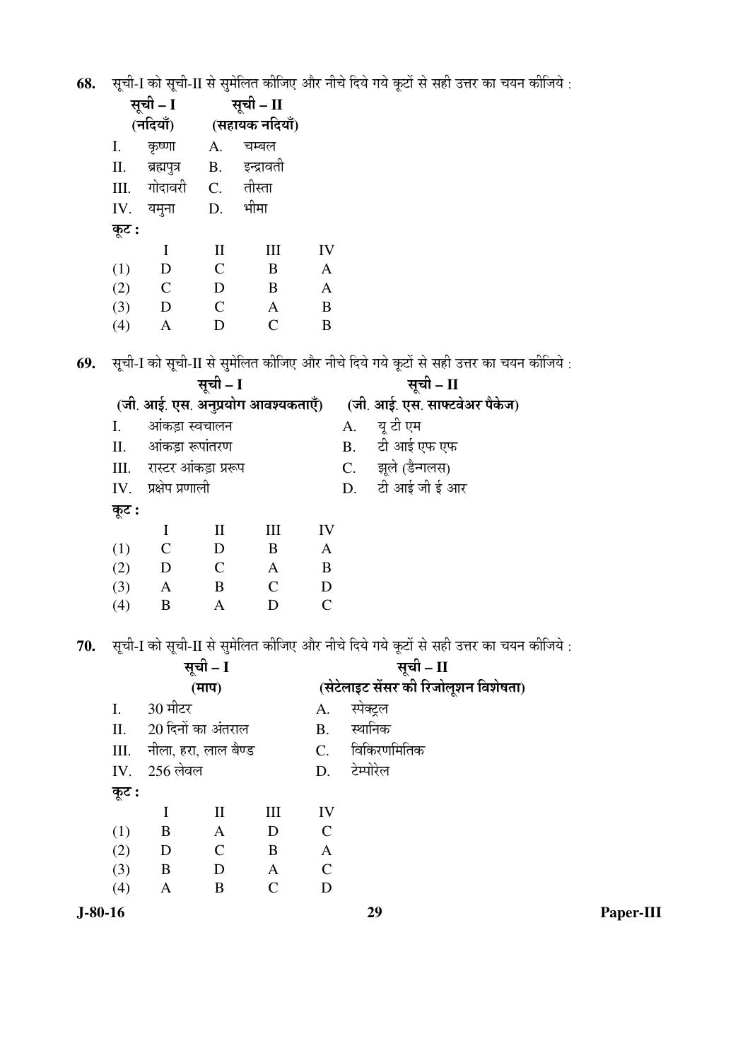68. सूची-I को सूची-II से सुमेलित कीजिए और नीचे दिये गये कूटों से सही उत्तर का चयन कीजिये :

|       | सूची – I      |                | सूची – II      |              |
|-------|---------------|----------------|----------------|--------------|
|       | (नदियाँ)      |                | (सहायक नदियाँ) |              |
| I.    | कृष्णा        | А.             | चम्बल          |              |
| II.   | ब्रह्मपुत्र   | B.             | इन्द्रावती     |              |
|       | III. गोदावरी  |                | C. तीस्ता      |              |
| IV.   | यमृना         | D.             | भीमा           |              |
| कूट : |               |                |                |              |
|       | I             | $\mathbf{I}$   | Ш              | IV           |
| (1)   | D             | $\overline{C}$ | B              | $\mathbf{A}$ |
| (2)   | $\mathcal{C}$ | D              | B              | A            |
| (3)   | D             | $\overline{C}$ | A              | B            |
| (4)   | A             | D              | $\mathcal{C}$  | B            |

69. सूची-I को सूची-II से सुमेलित कीजिए और नीचे दिये गये कूटों से सही उत्तर का चयन कीजिये :

|       |                        | सूची – I                           |              |                               | सूची – II |                   |
|-------|------------------------|------------------------------------|--------------|-------------------------------|-----------|-------------------|
|       |                        | (जी. आई. एस. अनुप्रयोग आवश्यकताएँ) |              | (जी. आई. एस. साफ्टवेअर पैकेज) |           |                   |
| Ι.    |                        | आंकड़ा स्वचालन                     |              |                               | A.        | यू टी एम          |
|       |                        | II. आंकड़ा रूपांतरण                |              |                               |           | B. टी आई एफ एफ    |
|       |                        | III. रास्टर आंकड़ा प्ररूप          |              |                               |           | C. झूले (डैन्गलस) |
|       | $IV.$ प्रक्षेप प्रणाली |                                    |              |                               |           | D. टी आई जी ई आर  |
| कूट : |                        |                                    |              |                               |           |                   |
|       | I                      | $\rm II$                           | III          | IV                            |           |                   |
| (1)   | $\mathcal{C}$          | D                                  | B            | A                             |           |                   |
| (2)   | D                      | $\mathcal{C}$                      | $\mathbf{A}$ | B                             |           |                   |
| (3)   | $\mathbf{A}$           | B                                  | C            | D                             |           |                   |
| (4)   | B                      | Α                                  |              |                               |           |                   |

70. सूची-I को सूची-II से सुमेलित कीजिए और नीचे दिये गये कूटों से सही उत्तर का चयन कीजिये :

| सूची – I     |                                                                                                                                                                   |   |                             | सूची – II                            |             |
|--------------|-------------------------------------------------------------------------------------------------------------------------------------------------------------------|---|-----------------------------|--------------------------------------|-------------|
|              | (TTTT)<br>30 मीटर<br>20 दिनों का अंतराल<br>नीला, हरा, लाल बैण्ड<br>III<br>$\rm II$<br>B<br>$\mathbf{A}$<br>D<br>B<br>$\mathcal{C}$<br>D<br>B<br>D<br>$\mathbf{A}$ |   |                             | (सेटेलाइट सेंसर की रिजोलूशन विशेषता) |             |
| I.           |                                                                                                                                                                   |   |                             | A.                                   | स्पेक्ट्रल  |
| II.          |                                                                                                                                                                   |   |                             | <b>B.</b>                            | स्थानिक     |
| III.         |                                                                                                                                                                   |   |                             | $C_{\cdot}$                          | विकिरणमितिक |
| IV. 256 लेवल |                                                                                                                                                                   |   |                             | D.                                   | टेम्पोरेल   |
| कूट :        |                                                                                                                                                                   |   |                             |                                      |             |
|              |                                                                                                                                                                   |   |                             | IV                                   |             |
| (1)          |                                                                                                                                                                   |   |                             | $\mathcal{C}$                        |             |
| (2)          |                                                                                                                                                                   |   |                             | A                                    |             |
| (3)          |                                                                                                                                                                   |   |                             | $\mathcal{C}$                        |             |
| (4)          | A                                                                                                                                                                 | B | $\mathcal{C}_{\mathcal{C}}$ | D                                    |             |
|              |                                                                                                                                                                   |   |                             |                                      |             |

 $J-80-16$ 

Paper-III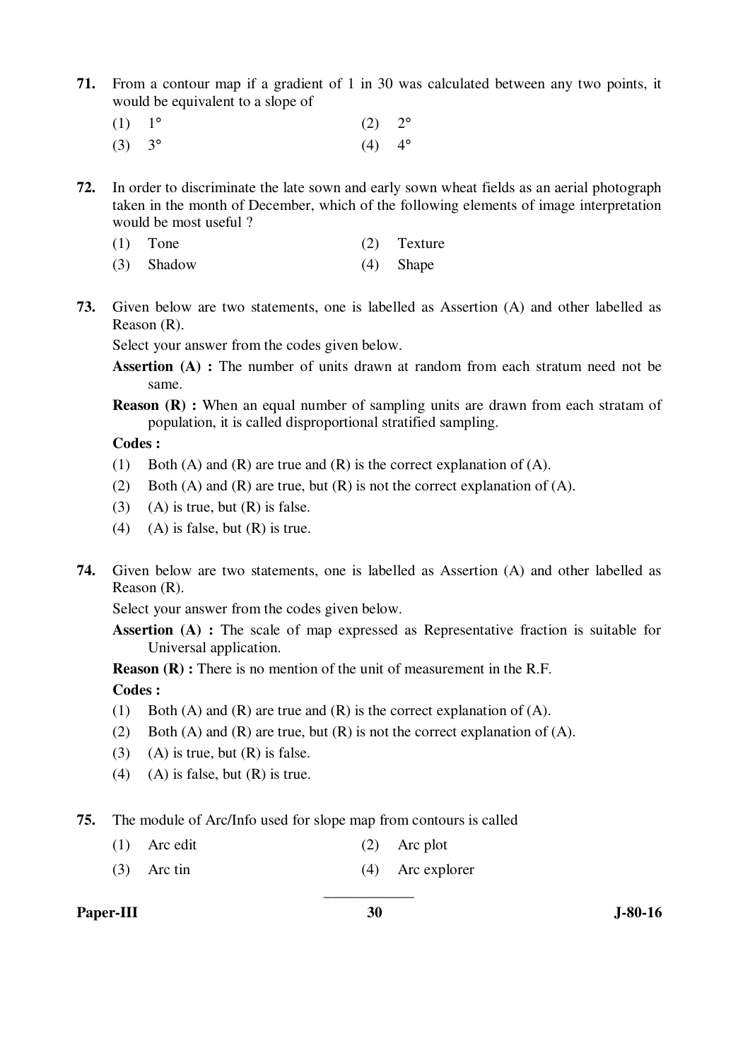- **71.** From a contour map if a gradient of 1 in 30 was calculated between any two points, it would be equivalent to a slope of
- (1)  $1^{\circ}$  (2)  $2^{\circ}$ 
	- (3)  $3^{\circ}$  (4)  $4^{\circ}$
- **72.** In order to discriminate the late sown and early sown wheat fields as an aerial photograph taken in the month of December, which of the following elements of image interpretation would be most useful ?
	- (1) Tone (2) Texture
	- (3) Shadow (4) Shape
- **73.** Given below are two statements, one is labelled as Assertion (A) and other labelled as Reason (R).

Select your answer from the codes given below.

- **Assertion (A) :** The number of units drawn at random from each stratum need not be same.
- **Reason (R) :** When an equal number of sampling units are drawn from each stratam of population, it is called disproportional stratified sampling.

 **Codes :** 

- (1) Both (A) and (R) are true and (R) is the correct explanation of (A).
- (2) Both (A) and (R) are true, but (R) is not the correct explanation of (A).
- (3) (A) is true, but  $(R)$  is false.
- (4) (A) is false, but  $(R)$  is true.
- **74.** Given below are two statements, one is labelled as Assertion (A) and other labelled as Reason (R).

Select your answer from the codes given below.

Assertion (A) : The scale of map expressed as Representative fraction is suitable for Universal application.

**Reason (R) :** There is no mention of the unit of measurement in the R.F.

 **Codes :** 

- (1) Both (A) and (R) are true and (R) is the correct explanation of (A).
- (2) Both (A) and (R) are true, but (R) is not the correct explanation of (A).
- $(3)$  (A) is true, but  $(R)$  is false.
- (4) (A) is false, but  $(R)$  is true.

**75.** The module of Arc/Info used for slope map from contours is called

- (1) Arc edit (2) Arc plot
- (3) Arc tin (4) Arc explorer

**Paper-III** 30 J-80-16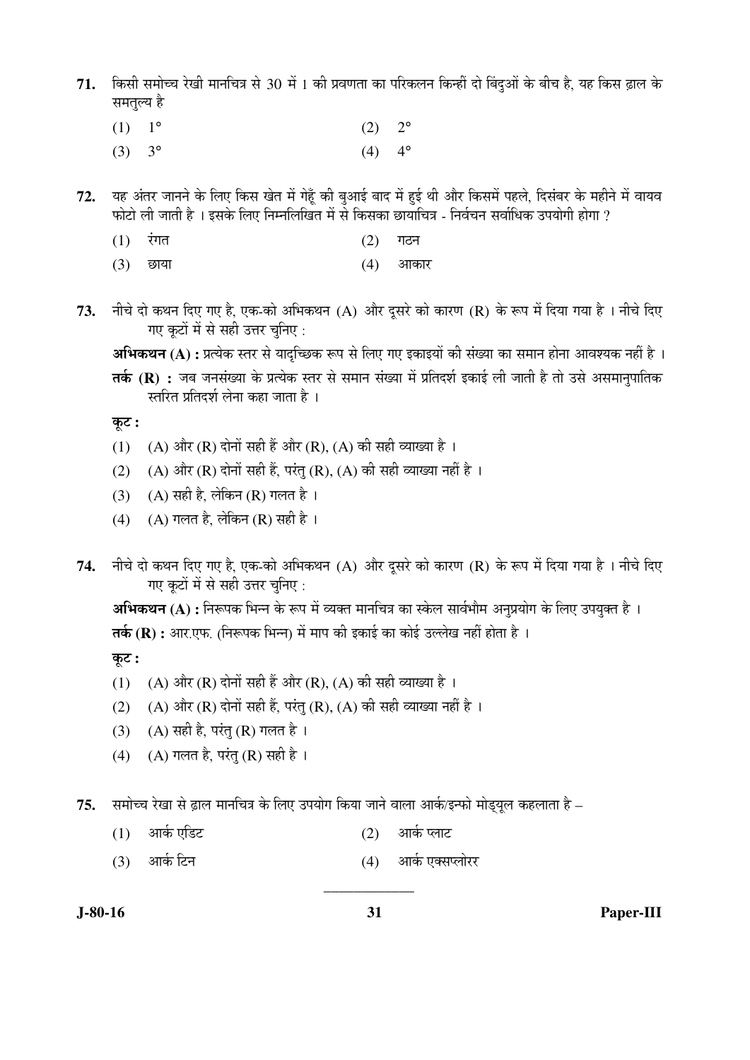- $71.$  किसी समोच्च रेखी मानचित्र से 30 में 1 की प्रवणता का परिकलन किन्हीं दो बिंदुओं के बीच है, यह किस ढ़ाल के समतुल्य है
- (1)  $1^{\circ}$  (2)  $2^{\circ}$ (3)  $3^{\circ}$  (4)  $4^{\circ}$ 
	-
- 72. यह अंतर जानने के लिए किस खेत में गेहूँ की बुआई बाद में हुई थी और किसमें पहले, दिसंबर के महीने में वायव फोटो ली जाती है । इसके लिए निम्नलिखित में से किसका छायाचित्र - निर्वचन सर्वाधिक उपयोगी होगा ?
- $(1)$  रंगत (2) गठन
- (3) छाया (4) आकार
- 73. नीचे दो कथन दिए गए है, एक-को अभिकथन (A) और दूसरे को कारण (R) के रूप में दिया गया है । नीचे दिए गए कूटों में से सही उत्तर चुनिए :

**अभिकथन (A) :** प्रत्येक स्तर से यादच्छिक रूप से लिए गए इकाइयों की संख्या का समान होना आवश्यक नहीं है ।

**तर्क (R) :** जब जनसंख्या के प्रत्येक स्तर से समान संख्या में प्रतिदर्श इकाई ली जाती है तो उसे असमानुपातिक स्तरित प्रतिदर्श लेना कहा जाता है ।

 $\overline{q}$ ः

- (1) (A) और (R) दोनों सही हैं और (R), (A) की सही व्याख्या है ।
- (2) (A) और (R) दोनों सही हैं, परंतु (R), (A) की सही व्याख्या नहीं है ।
- (3) (A) सही है, लेकिन (R) गलत है।
- (4) (A) गलत है, लेकिन (R) सही है ।
- 74. नीचे दो कथन दिए गए है, एक-को अभिकथन (A) और दुसरे को कारण (R) के रूप में दिया गया है । नीचे दिए गए कूटों में से सही उत्तर चुनिए :

**अभिकथन (A) :** निरूपक भिन्न के रूप में व्यक्त मानचित्र का स्केल सार्वभौम अनुप्रयोग के लिए उपयुक्त है । **तर्क (R) :** आर.एफ. (निरूपक भिन्न) में माप की इकाई का कोई उल्लेख नहीं होता है ।

कट:

- (1) (A) और (R) दोनों सही हैं और (R), (A) की सही व्याख्या है ।
- (2) (A) और (R) दोनों सही हैं, परंतु (R), (A) की सही व्याख्या नहीं है ।
- (3) (A) सही है, परंतु (R) गलत है।
- (4) (A) गलत है, परंतु (R) सही है।

 $75.$  समोच्च रेखा से ढ़ाल मानचित्र के लिए उपयोग किया जाने वाला आर्क/इन्फो मोड्युल कहलाता है –

- (1) †ÖÛÔú ‹×›ü™ü (2) †ÖÛÔú ¯»ÖÖ™ü
- (3) †ÖÛÔú ×™ü®Ö (4) †ÖÛÔú ‹ŒÃÖ¯»ÖÖê¸ü¸ü

\_\_\_\_\_\_\_\_\_\_\_\_

**J-80-16 31 Paper-III**